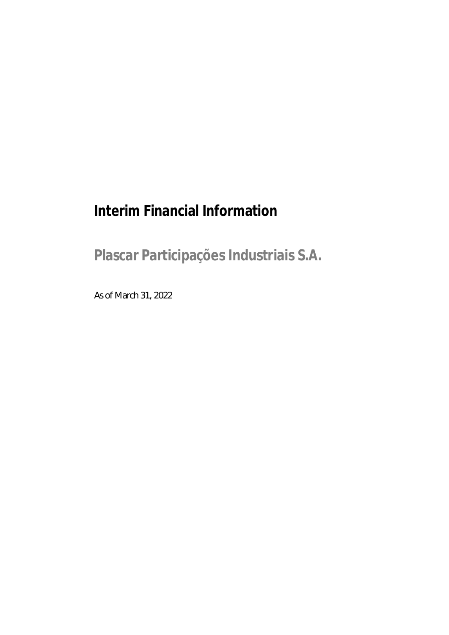# **Interim Financial Information**

**Plascar Participações Industriais S.A.**

As of March 31, 2022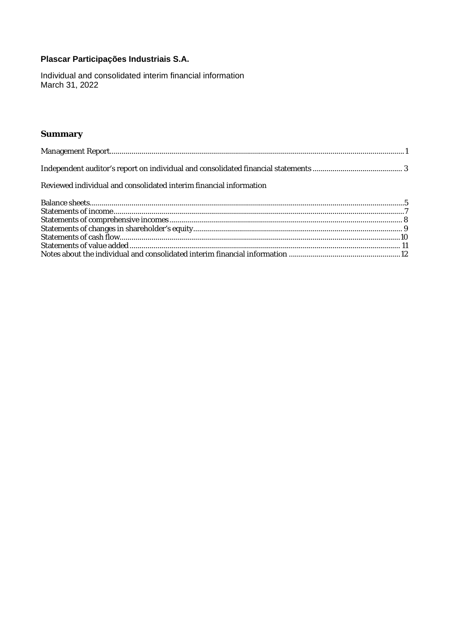Individual and consolidated interim financial information March 31, 2022

# **Summary**

| Reviewed individual and consolidated interim financial information |  |
|--------------------------------------------------------------------|--|
|                                                                    |  |
|                                                                    |  |
|                                                                    |  |
|                                                                    |  |
|                                                                    |  |
|                                                                    |  |
|                                                                    |  |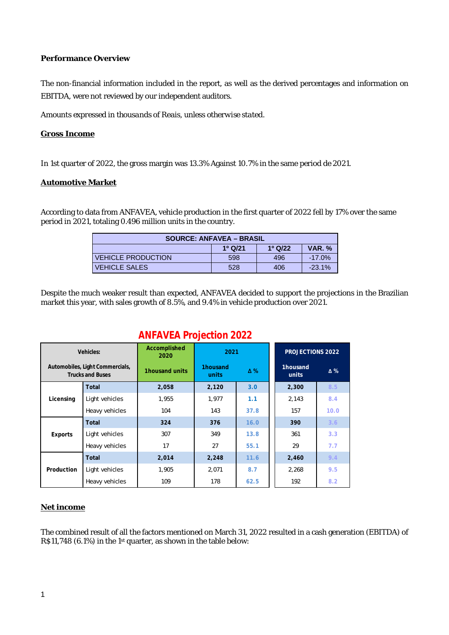#### **Performance Overview**

The non-financial information included in the report, as well as the derived percentages and information on EBITDA, were not reviewed by our independent auditors.

*Amounts expressed in thousands of Reais, unless otherwise stated.*

#### **Gross Income**

In 1st quarter of 2022, the gross margin was 13.3% Against 10.7% in the same period de 2021.

#### **Automotive Market**

According to data from ANFAVEA, vehicle production in the first quarter of 2022 fell by 17% over the same period in 2021, totaling 0.496 million units in the country.

| <b>SOURCE: ANFAVEA - BRASIL</b>                 |     |     |           |  |  |
|-------------------------------------------------|-----|-----|-----------|--|--|
| $1^{\circ}$ Q/21<br><b>VAR. %</b><br>$1^0$ Q/22 |     |     |           |  |  |
| <b>VEHICLE PRODUCTION</b>                       | 598 | 496 | $-17.0\%$ |  |  |
| <b>VEHICLE SALES</b>                            | 528 | 406 | $-23.1\%$ |  |  |

Despite the much weaker result than expected, ANFAVEA decided to support the projections in the Brazilian market this year, with sales growth of 8.5%, and 9.4% in vehicle production over 2021.

# **ANFAVEA Projection 2022**

|            | Vehicles:                                                  | Accomplished<br>2020 | 2021                            |      | <b>PROJECTIONS 2022</b> |            |
|------------|------------------------------------------------------------|----------------------|---------------------------------|------|-------------------------|------------|
|            | Automobiles, Light Commercials,<br><b>Trucks and Buses</b> | 1housand units       | 1housand<br>$\Delta\%$<br>units |      | 1housand<br>units       | $\Delta\%$ |
|            | Total                                                      | 2,058                | 2,120                           | 3.0  | 2,300                   | 8.5        |
| Licensing  | Light vehicles                                             | 1.955                | 1.977                           | 1.1  | 2,143                   | 8.4        |
|            | Heavy vehicles                                             | 104                  | 143                             | 37.8 | 157                     | 10.0       |
|            | Total                                                      | 324                  | 376                             | 16.0 | 390                     | 3.6        |
| Exports    | Light vehicles                                             | 307                  | 349                             | 13.8 | 361                     | 3.3        |
|            | Heavy vehicles                                             | 17                   | 27                              | 55.1 | 29                      | 7.7        |
|            | Total                                                      | 2,014                | 2,248                           | 11.6 | 2,460                   | 9.4        |
| Production | Light vehicles                                             | 1,905                | 2,071                           | 8.7  | 2,268                   | 9.5        |
|            | Heavy vehicles                                             | 109                  | 178                             | 62.5 | 192                     | 8.2        |

#### **Net income**

The combined result of all the factors mentioned on March 31, 2022 resulted in a cash generation (EBITDA) of R\$11,748 (6.1%) in the 1st quarter, as shown in the table below: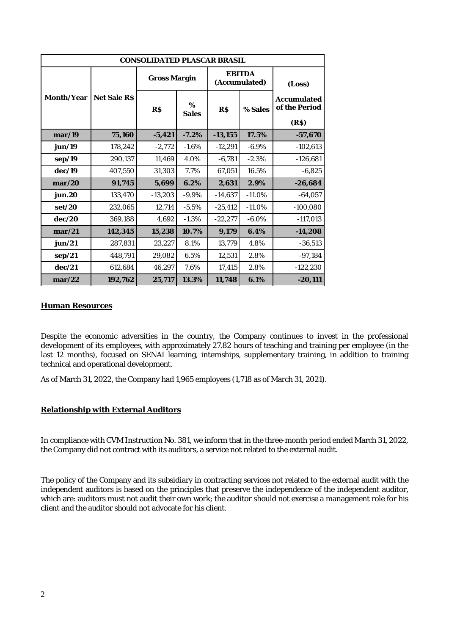| CONSOLIDATED PLASCAR BRASIL |              |              |            |                                |          |                              |
|-----------------------------|--------------|--------------|------------|--------------------------------|----------|------------------------------|
|                             |              | Gross Margin |            | <b>FRITDA</b><br>(Accumulated) |          | (Loss)                       |
| Month/Year                  | Net Sale R\$ | R\$          | %<br>Sales | R\$                            | % Sales  | Accumulated<br>of the Period |
|                             |              |              |            |                                |          | (R\$)                        |
| mar/19                      | 75,160       | $-5,421$     | $-7.2%$    | $-13,155$                      | 17.5%    | $-57,670$                    |
| jun/19                      | 178,242      | $-2,772$     | $-1.6%$    | $-12,291$                      | $-6.9%$  | $-102,613$                   |
| sep/19                      | 290,137      | 11,469       | 4.0%       | $-6,781$                       | $-2.3%$  | $-126,681$                   |
| dec/19                      | 407,550      | 31,303       | 7.7%       | 67,051                         | 16.5%    | $-6,825$                     |
| mar/20                      | 91,745       | 5,699        | 6.2%       | 2,631                          | 2.9%     | $-26,684$                    |
| jun.20                      | 133,470      | $-13,203$    | $-9.9%$    | $-14,637$                      | $-11.0%$ | $-64,057$                    |
| set/20                      | 232,065      | 12,714       | $-5.5%$    | $-25,412$                      | $-11.0%$ | $-100,080$                   |
| dec/20                      | 369,188      | 4,692        | $-1.3%$    | $-22,277$                      | $-6.0%$  | $-117,013$                   |
| mar/21                      | 142,345      | 15,238       | 10.7%      | 9,179                          | 6.4%     | $-14,208$                    |
| jun/21                      | 287,831      | 23,227       | 8.1%       | 13,779                         | 4.8%     | $-36,513$                    |
| sep/21                      | 448,791      | 29,082       | 6.5%       | 12,531                         | 2.8%     | -97,184                      |
| dec/21                      | 612,684      | 46,297       | 7.6%       | 17,415                         | 2.8%     | $-122,230$                   |
| mar/22                      | 192,762      | 25,717       | 13.3%      | 11,748                         | 6.1%     | $-20,111$                    |

#### **Human Resources**

Despite the economic adversities in the country, the Company continues to invest in the professional development of its employees, with approximately 27.82 hours of teaching and training per employee (in the last 12 months), focused on SENAI learning, internships, supplementary training, in addition to training technical and operational development.

As of March 31, 2022, the Company had 1,965 employees (1,718 as of March 31, 2021).

#### **Relationship with External Auditors**

In compliance with CVM Instruction No. 381, we inform that in the three-month period ended March 31, 2022, the Company did not contract with its auditors, a service not related to the external audit.

The policy of the Company and its subsidiary in contracting services not related to the external audit with the independent auditors is based on the principles that preserve the independence of the independent auditor, which are: auditors must not audit their own work; the auditor should not exercise a management role for his client and the auditor should not advocate for his client.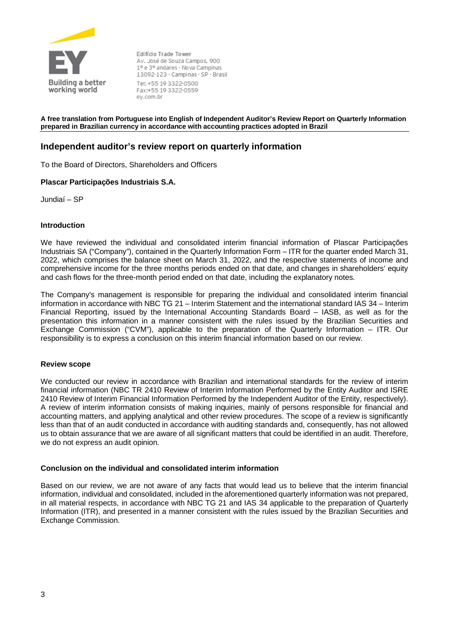

Edifício Trade Tower Av. José de Souza Campos, 900 1º e 3º andares - Nova Campinas 13092-123 - Campinas - SP - Brasil Tel: +55 19 3322-0500 Fax:+55 19 3322-0559 ey.com.br

#### **A free translation from Portuguese into English of Independent Auditor's Review Report on Quarterly Information prepared in Brazilian currency in accordance with accounting practices adopted in Brazil**

#### **Independent auditor's review report on quarterly information**

To the Board of Directors, Shareholders and Officers

#### **Plascar Participações Industriais S.A.**

Jundiaí – SP

#### **Introduction**

We have reviewed the individual and consolidated interim financial information of Plascar Participações Industriais SA ("Company"), contained in the Quarterly Information Form – ITR for the quarter ended March 31, 2022, which comprises the balance sheet on March 31, 2022, and the respective statements of income and comprehensive income for the three months periods ended on that date, and changes in shareholders' equity and cash flows for the three-month period ended on that date, including the explanatory notes.

The Company's management is responsible for preparing the individual and consolidated interim financial information in accordance with NBC TG 21 – Interim Statement and the international standard IAS 34 – Interim Financial Reporting, issued by the International Accounting Standards Board – IASB, as well as for the presentation this information in a manner consistent with the rules issued by the Brazilian Securities and Exchange Commission ("CVM"), applicable to the preparation of the Quarterly Information – ITR. Our responsibility is to express a conclusion on this interim financial information based on our review.

#### **Review scope**

We conducted our review in accordance with Brazilian and international standards for the review of interim financial information (NBC TR 2410 Review of Interim Information Performed by the Entity Auditor and ISRE 2410 Review of Interim Financial Information Performed by the Independent Auditor of the Entity, respectively). A review of interim information consists of making inquiries, mainly of persons responsible for financial and accounting matters, and applying analytical and other review procedures. The scope of a review is significantly less than that of an audit conducted in accordance with auditing standards and, consequently, has not allowed us to obtain assurance that we are aware of all significant matters that could be identified in an audit. Therefore, we do not express an audit opinion.

#### **Conclusion on the individual and consolidated interim information**

Based on our review, we are not aware of any facts that would lead us to believe that the interim financial information, individual and consolidated, included in the aforementioned quarterly information was not prepared, in all material respects, in accordance with NBC TG 21 and IAS 34 applicable to the preparation of Quarterly Information (ITR), and presented in a manner consistent with the rules issued by the Brazilian Securities and Exchange Commission.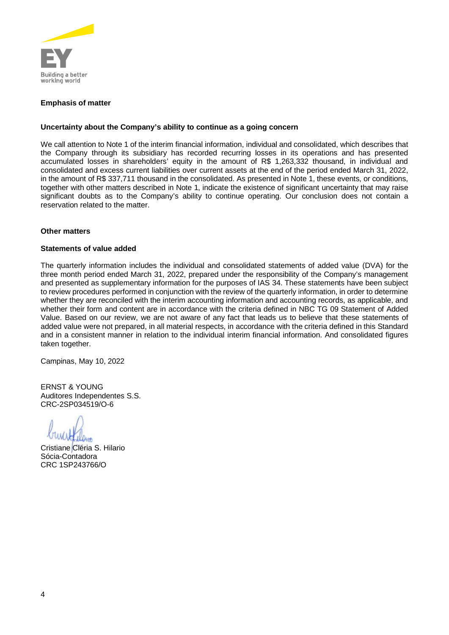

#### **Emphasis of matter**

#### **Uncertainty about the Company's ability to continue as a going concern**

We call attention to Note 1 of the interim financial information, individual and consolidated, which describes that the Company through its subsidiary has recorded recurring losses in its operations and has presented accumulated losses in shareholders' equity in the amount of R\$ 1,263,332 thousand, in individual and consolidated and excess current liabilities over current assets at the end of the period ended March 31, 2022, in the amount of R\$ 337,711 thousand in the consolidated. As presented in Note 1, these events, or conditions, together with other matters described in Note 1, indicate the existence of significant uncertainty that may raise significant doubts as to the Company's ability to continue operating. Our conclusion does not contain a reservation related to the matter.

#### **Other matters**

#### **Statements of value added**

The quarterly information includes the individual and consolidated statements of added value (DVA) for the three month period ended March 31, 2022, prepared under the responsibility of the Company's management and presented as supplementary information for the purposes of IAS 34. These statements have been subject to review procedures performed in conjunction with the review of the quarterly information, in order to determine whether they are reconciled with the interim accounting information and accounting records, as applicable, and whether their form and content are in accordance with the criteria defined in NBC TG 09 Statement of Added Value. Based on our review, we are not aware of any fact that leads us to believe that these statements of added value were not prepared, in all material respects, in accordance with the criteria defined in this Standard and in a consistent manner in relation to the individual interim financial information. And consolidated figures taken together.

Campinas, May 10, 2022

ERNST & YOUNG Auditores Independentes S.S. CRC-2SP034519/O-6

Cristiane Cléria S. Hilario Sócia-Contadora CRC 1SP243766/O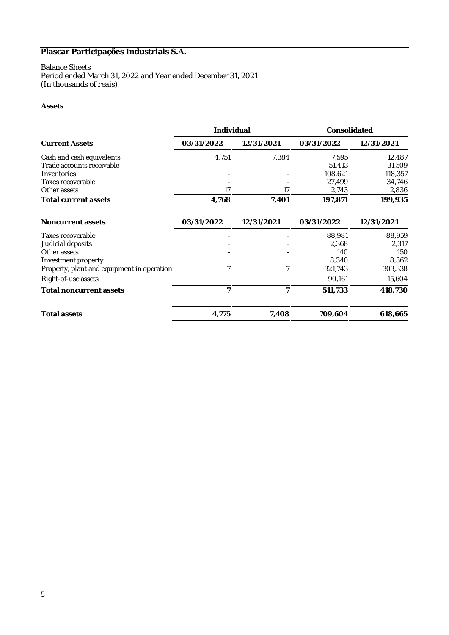#### Balance Sheets Period ended March 31, 2022 and Year ended December 31, 2021 *(In thousands of reais)*

#### **Assets**

|                                                                                                                                                    | Individual           |                      | Consolidated                                             |                                                           |  |
|----------------------------------------------------------------------------------------------------------------------------------------------------|----------------------|----------------------|----------------------------------------------------------|-----------------------------------------------------------|--|
| <b>Current Assets</b>                                                                                                                              | 03/31/2022           | 12/31/2021           | 03/31/2022                                               | 12/31/2021                                                |  |
| Cash and cash equivalents<br>Trade accounts receivable<br>Inventories<br>Taxes recoverable<br>Other assets<br>Total current assets                 | 4,751<br>17<br>4,768 | 7,384<br>17<br>7,401 | 7,595<br>51,413<br>108,621<br>27,499<br>2,743<br>197,871 | 12,487<br>31,509<br>118,357<br>34,746<br>2,836<br>199,935 |  |
| Noncurrent assets                                                                                                                                  | 03/31/2022           | 12/31/2021           | 03/31/2022                                               | 12/31/2021                                                |  |
| Taxes recoverable<br>Judicial deposits<br>Other assets<br>Investment property<br>Property, plant and equipment in operation<br>Right-of-use assets | 7                    | 7                    | 88,981<br>2,368<br>140<br>8,340<br>321,743<br>90,161     | 88,959<br>2,317<br>150<br>8,362<br>303,338<br>15,604      |  |
| Total noncurrent assets                                                                                                                            | 7                    | 7                    | 511,733                                                  | 418,730                                                   |  |
| Total assets                                                                                                                                       | 4,775                | 7,408                | 709,604                                                  | 618,665                                                   |  |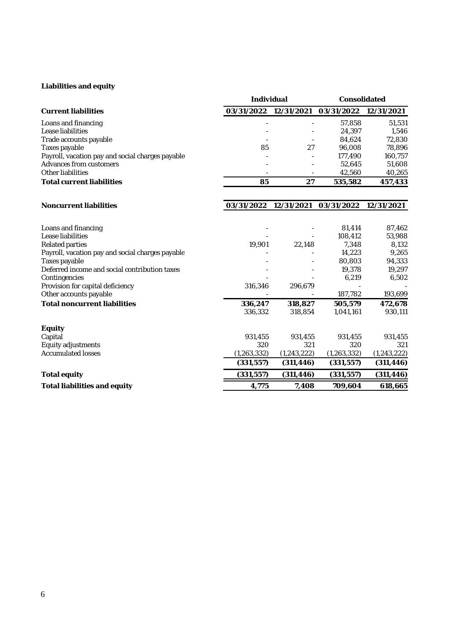### **Liabilities and equity**

|                                                  | Individual            |               | Consolidated     |                 |
|--------------------------------------------------|-----------------------|---------------|------------------|-----------------|
| <b>Current liabilities</b>                       | 03/31/2022 12/31/2021 |               | 03/31/2022       | 12/31/2021      |
| Loans and financing<br>Lease liabilities         |                       |               | 57,858<br>24,397 | 51,531<br>1,546 |
| Trade accounts payable                           |                       |               | 84,624           | 72,830          |
| Taxes payable                                    | 85                    | 27            | 96,008           | 78,896          |
| Payroll, vacation pay and social charges payable |                       |               | 177,490          | 160,757         |
| Advances from customers                          |                       |               | 52,645           | 51,608          |
| Other liabilities                                |                       |               | 42,560           | 40,265          |
| <b>Total current liabilities</b>                 | 85                    | 27            | 535,582          | 457,433         |
| Noncurrent liabilities                           | 03/31/2022            | 12/31/2021    | 03/31/2022       | 12/31/2021      |
|                                                  |                       |               |                  |                 |
| Loans and financing                              |                       |               | 81,414           | 87,462          |
| Lease liabilities                                |                       |               | 108,412          | 53,988          |
| Related parties                                  | 19,901                | 22,148        | 7,348            | 8,132           |
| Payroll, vacation pay and social charges payable |                       |               | 14,223           | 9,265           |
| Taxes payable                                    |                       |               | 80,803           | 94,333          |
| Deferred income and social contribution taxes    |                       |               | 19,378           | 19,297          |
| Contingencies                                    |                       |               | 6,219            | 6,502           |
| Provision for capital deficiency                 | 316,346               | 296,679       |                  |                 |
| Other accounts payable                           |                       |               | 187,782          | 193,699         |
| <b>Total noncurrent liabilities</b>              | 336,247               | 318,827       | 505,579          | 472,678         |
|                                                  | 336,332               | 318,854       | 1,041,161        | 930,111         |
| Equity                                           |                       |               |                  |                 |
| Capital                                          | 931,455               | 931,455       | 931,455          | 931,455         |
| Equity adjustments                               | 320                   | 321           | 320              | 321             |
| <b>Accumulated losses</b>                        | (1, 263, 332)         | (1, 243, 222) | (1, 263, 332)    | (1, 243, 222)   |
|                                                  | (331, 557)            | (311, 446)    | (331, 557)       | (311, 446)      |
| Total equity                                     | (331, 557)            | (311, 446)    | (331, 557)       | (311, 446)      |
| Total liabilities and equity                     | 4,775                 | 7,408         | 709,604          | 618,665         |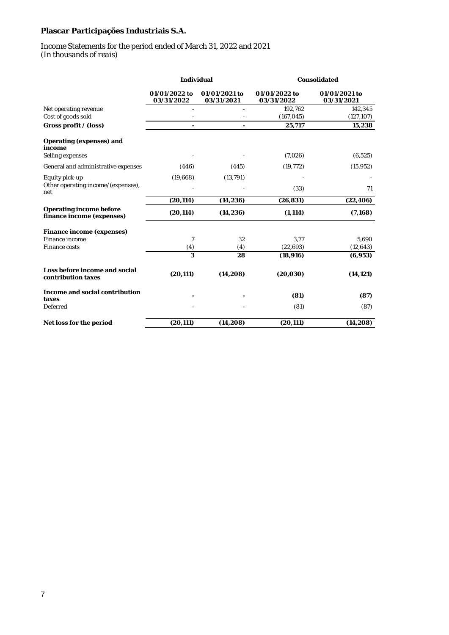#### Income Statements for the period ended of March 31, 2022 and 2021 *(In thousands of reais)*

|                                                      | Individual                  |                             | Consolidated                |                             |  |
|------------------------------------------------------|-----------------------------|-----------------------------|-----------------------------|-----------------------------|--|
|                                                      | 01/01/2022 to<br>03/31/2022 | 01/01/2021 to<br>03/31/2021 | 01/01/2022 to<br>03/31/2022 | 01/01/2021 to<br>03/31/2021 |  |
| Net operating revenue<br>Cost of goods sold          |                             |                             | 192,762<br>(167, 045)       | 142,345<br>(127, 107)       |  |
| Gross profit / (loss)                                |                             |                             | 25,717                      | 15,238                      |  |
| Operating (expenses) and<br>income                   |                             |                             |                             |                             |  |
| Selling expenses                                     |                             |                             | (7,026)                     | (6, 525)                    |  |
| General and administrative expenses                  | (446)                       | (445)                       | (19, 772)                   | (15, 952)                   |  |
| Equity pick-up                                       | (19,668)                    | (13, 791)                   |                             |                             |  |
| Other operating income/(expenses),<br>net            |                             |                             | (33)                        | 71                          |  |
|                                                      | (20, 114)                   | (14, 236)                   | (26, 831)                   | (22, 406)                   |  |
| Operating income before<br>finance income (expenses) | (20, 114)                   | (14, 236)                   | (1, 114)                    | (7, 168)                    |  |
| Finance income (expenses)                            |                             |                             |                             |                             |  |
| Finance income                                       | 7                           | 32                          | 3,77                        | 5,690                       |  |
| Finance costs                                        | (4)<br>3                    | (4)<br>28                   | (22,693)<br>(18, 916)       | (12,643)<br>(6,953)         |  |
|                                                      |                             |                             |                             |                             |  |
| Loss before income and social<br>contribution taxes  | (20, 111)                   | (14, 208)                   | (20, 030)                   | (14, 121)                   |  |
| Income and social contribution<br>taxes              |                             |                             | (81)                        | (87)                        |  |
| Deferred                                             |                             |                             | (81)                        | (87)                        |  |
| Net loss for the period                              | (20, 111)                   | (14, 208)                   | (20,111)                    | (14, 208)                   |  |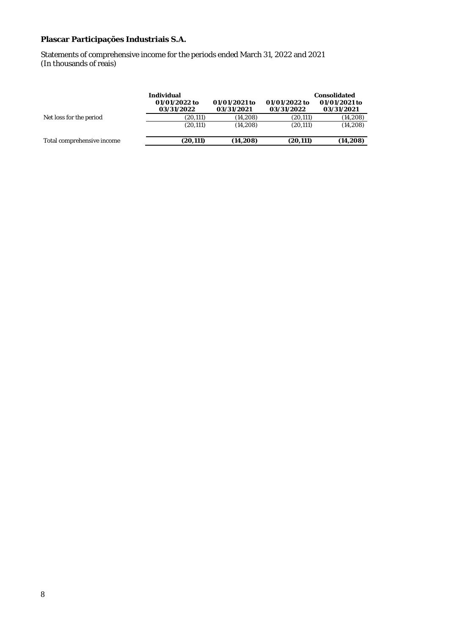Statements of comprehensive income for the periods ended March 31, 2022 and 2021 (In thousands of reais)

|                            | Individual<br>01/01/2022 to<br>03/31/2022 | 01/01/2021 to<br>03/31/2021 | 01/01/2022 to<br>03/31/2022 | Consolidated<br>01/01/2021 to<br>03/31/2021 |
|----------------------------|-------------------------------------------|-----------------------------|-----------------------------|---------------------------------------------|
| Net loss for the period    | (20,111)                                  | (14.208)                    | (20, 111)                   | (14, 208)                                   |
|                            | (20, 111)                                 | (14.208)                    | (20, 111)                   | (14,208)                                    |
| Total comprehensive income | (20.111)                                  | (14, 208)                   | (20.111)                    | (14,208)                                    |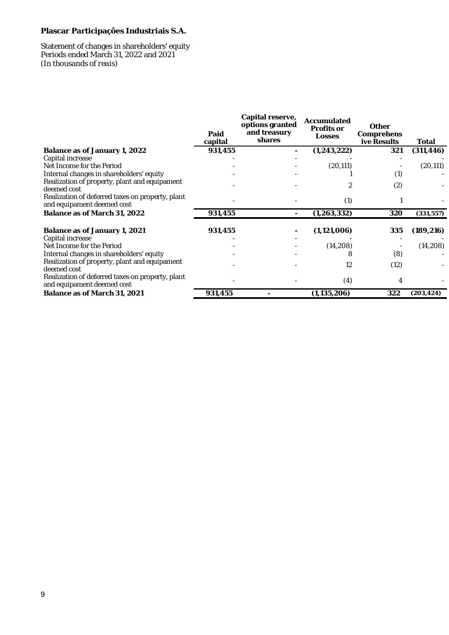#### Statement of changes in shareholders' equity Periods ended March 31, 2022 and 2021 *(In thousands of reais)*

|                                                                                | Paid<br>capital | Capital reserve,<br>options granted<br>and treasury<br>shares | Accumulated<br>Profits or<br>Losses | Other<br>Comprehens<br>ive Results | Total      |
|--------------------------------------------------------------------------------|-----------------|---------------------------------------------------------------|-------------------------------------|------------------------------------|------------|
| Balance as of January 1, 2022                                                  | 931,455         |                                                               | (1, 243, 222)                       | 321                                | (311, 446) |
| Capital increase                                                               |                 |                                                               |                                     |                                    |            |
| Net Income for the Period                                                      |                 |                                                               | (20, 111)                           |                                    | (20, 111)  |
| Internal changes in shareholders' equity                                       |                 |                                                               |                                     | (1)                                |            |
| Realization of property, plant and equipament<br>deemed cost                   |                 |                                                               |                                     | (2)                                |            |
| Realization of deferred taxes on property, plant<br>and equipament deemed cost |                 |                                                               | (1)                                 |                                    |            |
| Balance as of March 31, 2022                                                   | 931,455         |                                                               | (1, 263, 332)                       | 320                                | (331, 557) |
| Balance as of January 1, 2021<br>Capital increase                              | 931,455         |                                                               | (1, 121, 006)                       | 335                                | (189, 216) |
| Net Income for the Period                                                      |                 |                                                               | (14,208)                            |                                    | (14, 208)  |
| Internal changes in shareholders' equity                                       |                 |                                                               | 8                                   | (8)                                |            |
| Realization of property, plant and equipament<br>deemed cost                   |                 |                                                               | 12                                  | (12)                               |            |
| Realization of deferred taxes on property, plant<br>and equipament deemed cost |                 |                                                               | (4)                                 | 4                                  |            |
| Balance as of March 31, 2021                                                   | 931,455         |                                                               | (1, 135, 206)                       | 322                                | (203,424)  |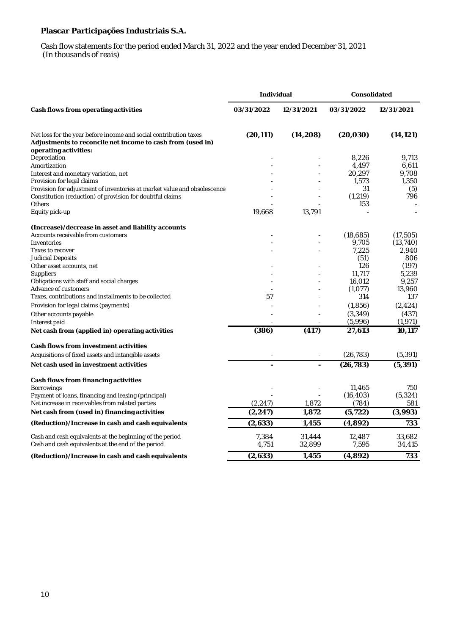#### Cash flow statements for the period ended March 31, 2022 and the year ended December 31, 2021  *(In thousands of reais)*

|                                                                                                                                                          | Individual     |                  | Consolidated        |                   |
|----------------------------------------------------------------------------------------------------------------------------------------------------------|----------------|------------------|---------------------|-------------------|
| Cash flows from operating activities                                                                                                                     | 03/31/2022     | 12/31/2021       | 03/31/2022          | 12/31/2021        |
| Net loss for the year before income and social contribution taxes<br>Adjustments to reconcile net income to cash from (used in)<br>operating activities: | (20, 111)      | (14, 208)        | (20, 030)           | (14, 121)         |
| Depreciation                                                                                                                                             |                |                  | 8,226               | 9.713             |
| Amortization                                                                                                                                             |                |                  | 4,497               | 6,611             |
| Interest and monetary variation, net                                                                                                                     |                |                  | 20,297              | 9,708             |
| Provision for legal claims<br>Provision for adjustment of inventories at market value and obsolescence                                                   |                |                  | 1,573<br>31         | 1,350<br>(5)      |
| Constitution (reduction) of provision for doubtful claims                                                                                                |                |                  | (1, 219)            | 796               |
| Others                                                                                                                                                   |                |                  | 153                 |                   |
| Equity pick-up                                                                                                                                           | 19,668         | 13,791           |                     |                   |
| (Increase)/decrease in asset and liability accounts                                                                                                      |                |                  |                     |                   |
| Accounts receivable from customers                                                                                                                       |                |                  | (18,685)            | (17, 505)         |
| Inventories                                                                                                                                              |                |                  | 9,705               | (13, 740)         |
| Taxes to recover<br>Judicial Deposits                                                                                                                    |                |                  | 7,225<br>(51)       | 2,940<br>806      |
| Other asset accounts, net                                                                                                                                |                |                  | 126                 | (197)             |
| Suppliers                                                                                                                                                |                |                  | 11,717              | 5,239             |
| Obligations with staff and social charges                                                                                                                |                |                  | 16,012              | 9,257             |
| Advance of customers                                                                                                                                     |                |                  | (1,077)             | 13,960            |
| Taxes, contributions and installments to be collected                                                                                                    | 57             |                  | 314                 | 137               |
| Provision for legal claims (payments)                                                                                                                    |                |                  | (1,856)             | (2, 424)          |
| Other accounts payable<br>Interest paid                                                                                                                  |                |                  | (3, 349)<br>(5,996) | (437)<br>(1, 971) |
| Net cash from (applied in) operating activities                                                                                                          | (386)          | (417)            | 27,613              | 10,117            |
| Cash flows from investment activities                                                                                                                    |                |                  |                     |                   |
| Acquisitions of fixed assets and intangible assets                                                                                                       |                |                  | (26, 783)           | (5, 391)          |
| Net cash used in investment activities                                                                                                                   |                | $\overline{a}$   | (26, 783)           | (5, 391)          |
| Cash flows from financing activities                                                                                                                     |                |                  |                     |                   |
| <b>Borrowings</b>                                                                                                                                        |                |                  | 11,465              | 750               |
| Payment of Ioans, financing and leasing (principal)                                                                                                      |                |                  | (16, 403)           | (5, 324)          |
| Net increase in receivables from related parties                                                                                                         | (2, 247)       | 1,872            | (784)               | 581               |
| Net cash from (used in) financing activities                                                                                                             | (2, 247)       | 1,872            | (5, 722)            | (3,993)           |
| (Reduction)/Increase in cash and cash equivalents                                                                                                        | (2,633)        | 1,455            | (4,892)             | 733               |
| Cash and cash equivalents at the beginning of the period<br>Cash and cash equivalents at the end of the period                                           | 7,384<br>4,751 | 31,444<br>32,899 | 12,487<br>7,595     | 33,682<br>34,415  |
| (Reduction)/Increase in cash and cash equivalents                                                                                                        | (2,633)        | 1,455            | (4,892)             | 733               |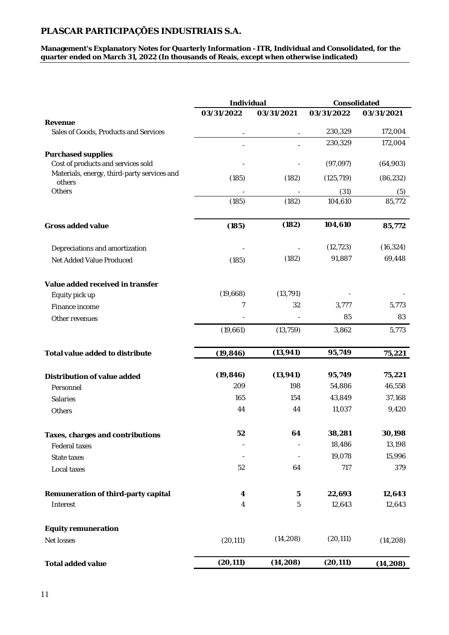**Management's Explanatory Notes for Quarterly Information - ITR, Individual and Consolidated, for the quarter ended on March 31, 2022 (In thousands of Reais, except when otherwise indicated)**

|                                                          | Individual     |            | Consolidated |            |
|----------------------------------------------------------|----------------|------------|--------------|------------|
|                                                          | 03/31/2022     | 03/31/2021 | 03/31/2022   | 03/31/2021 |
| Revenue<br>Sales of Goods, Products and Services         |                |            | 230,329      | 172,004    |
|                                                          |                |            | 230,329      | 172,004    |
| Purchased supplies<br>Cost of products and services sold |                |            | (97, 097)    | (64,903)   |
| Materials, energy, third-party services and<br>others    | (185)          | (182)      | (125, 719)   | (86, 232)  |
| Others                                                   |                |            | (31)         | (5)        |
|                                                          | (185)          | (182)      | 104,610      | 85,772     |
| Gross added value                                        | (185)          | (182)      | 104,610      | 85,772     |
| Depreciations and amortization                           |                |            | (12, 723)    | (16, 324)  |
| Net Added Value Produced                                 | (185)          | (182)      | 91,887       | 69,448     |
| Value added received in transfer                         |                |            |              |            |
| Equity pick up                                           | (19,668)       | (13, 791)  |              |            |
| Finance income                                           | $\overline{7}$ | 32         | 3,777        | 5,773      |
| Other revenues                                           |                |            | 85           | 83         |
|                                                          | (19,661)       | (13, 759)  | 3,862        | 5,773      |
| Total value added to distribute                          | (19, 846)      | (13, 941)  | 95,749       | 75,221     |
| Distribution of value added                              | (19, 846)      | (13, 941)  | 95,749       | 75,221     |
| Personnel                                                | 209            | 198        | 54,886       | 46,558     |
| Salaries                                                 | 165            | 154        | 43,849       | 37,168     |
| Others                                                   | 44             | 44         | 11,037       | 9,420      |
| Taxes, charges and contributions                         | 52             | 64         | 38,281       | 30,198     |
| Federal taxes                                            |                |            | 18,486       | 13,198     |
| State taxes                                              |                |            | 19,078       | 15,996     |
| Local taxes                                              | 52             | 64         | 717          | 379        |
| Remuneration of third-party capital                      | 4              | 5          | 22,693       | 12,643     |
| Interest                                                 | 4              | 5          | 12,643       | 12,643     |
| Equity remuneration                                      |                |            |              |            |
| Net losses                                               | (20, 111)      | (14, 208)  | (20, 111)    | (14, 208)  |
| Total added value                                        | (20, 111)      | (14, 208)  | (20, 111)    | (14, 208)  |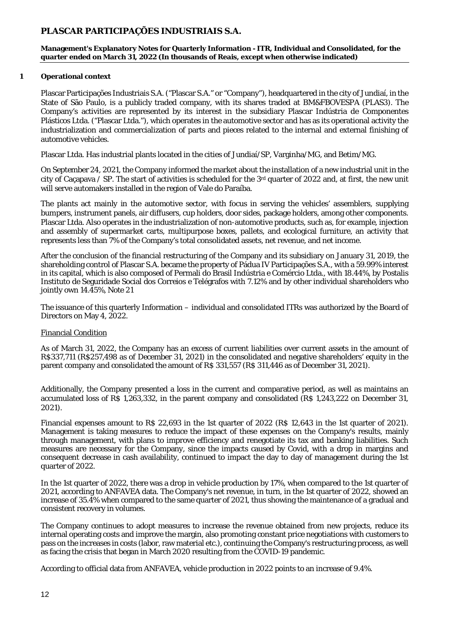**Management's Explanatory Notes for Quarterly Information - ITR, Individual and Consolidated, for the quarter ended on March 31, 2022 (In thousands of Reais, except when otherwise indicated)**

#### **1 Operational context**

Plascar Participações Industriais S.A. ("Plascar S.A." or "Company"), headquartered in the city of Jundiaí, in the State of São Paulo, is a publicly traded company, with its shares traded at BM&FBOVESPA (PLAS3). The Company's activities are represented by its interest in the subsidiary Plascar Indústria de Componentes Plásticos Ltda. ("Plascar Ltda."), which operates in the automotive sector and has as its operational activity the industrialization and commercialization of parts and pieces related to the internal and external finishing of automotive vehicles.

Plascar Ltda. Has industrial plants located in the cities of Jundiaí/SP, Varginha/MG, and Betim/MG.

On September 24, 2021, the Company informed the market about the installation of a new industrial unit in the city of Caçapava / SP. The start of activities is scheduled for the 3rd quarter of 2022 and, at first, the new unit will serve automakers installed in the region of Vale do Paraíba.

The plants act mainly in the automotive sector, with focus in serving the vehicles' assemblers, supplying bumpers, instrument panels, air diffusers, cup holders, door sides, package holders, among other components. Plascar Ltda. Also operates in the industrialization of non-automotive products, such as, for example, injection and assembly of supermarket carts, multipurpose boxes, pallets, and ecological furniture, an activity that represents less than 7% of the Company's total consolidated assets, net revenue, and net income.

After the conclusion of the financial restructuring of the Company and its subsidiary on January 31, 2019, the shareholding control of Plascar S.A. became the property of Pádua IV Participações S.A., with a 59.99% interest in its capital, which is also composed of Permali do Brasil Indústria e Comércio Ltda., with 18.44%, by Postalis Instituto de Seguridade Social dos Correios e Telégrafos with 7.12% and by other individual shareholders who jointly own 14.45%, Note 21

The issuance of this quarterly Information – individual and consolidated ITRs was authorized by the Board of Directors on May 4, 2022.

#### Financial Condition

As of March 31, 2022, the Company has an excess of current liabilities over current assets in the amount of R\$337,711 (R\$257,498 as of December 31, 2021) in the consolidated and negative shareholders' equity in the parent company and consolidated the amount of R\$ 331,557 (R\$ 311,446 as of December 31, 2021).

Additionally, the Company presented a loss in the current and comparative period, as well as maintains an accumulated loss of R\$ 1,263,332, in the parent company and consolidated (R\$ 1,243,222 on December 31, 2021).

Financial expenses amount to R\$ 22,693 in the 1st quarter of 2022 (R\$ 12,643 in the 1st quarter of 2021). Management is taking measures to reduce the impact of these expenses on the Company's results, mainly through management, with plans to improve efficiency and renegotiate its tax and banking liabilities. Such measures are necessary for the Company, since the impacts caused by Covid, with a drop in margins and consequent decrease in cash availability, continued to impact the day to day of management during the 1st quarter of 2022.

In the 1st quarter of 2022, there was a drop in vehicle production by 17%, when compared to the 1st quarter of 2021, according to ANFAVEA data. The Company's net revenue, in turn, in the 1st quarter of 2022, showed an increase of 35.4% when compared to the same quarter of 2021, thus showing the maintenance of a gradual and consistent recovery in volumes.

The Company continues to adopt measures to increase the revenue obtained from new projects, reduce its internal operating costs and improve the margin, also promoting constant price negotiations with customers to pass on the increases in costs (labor, raw material etc.), continuing the Company's restructuring process, as well as facing the crisis that began in March 2020 resulting from the COVID-19 pandemic.

According to official data from ANFAVEA, vehicle production in 2022 points to an increase of 9.4%.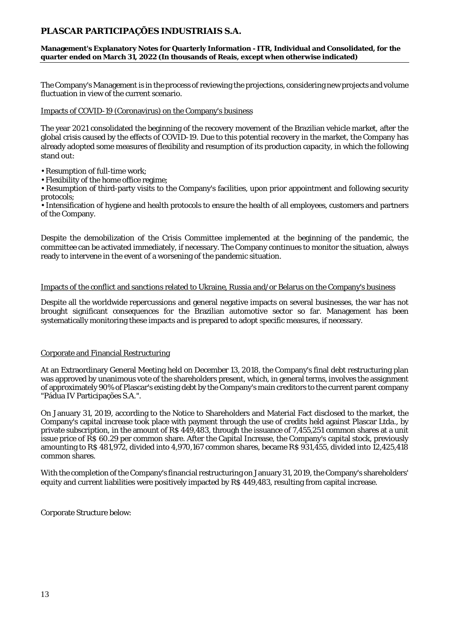**Management's Explanatory Notes for Quarterly Information - ITR, Individual and Consolidated, for the quarter ended on March 31, 2022 (In thousands of Reais, except when otherwise indicated)**

The Company's Management is in the process of reviewing the projections, considering new projects and volume fluctuation in view of the current scenario.

#### Impacts of COVID-19 (Coronavirus) on the Company's business

The year 2021 consolidated the beginning of the recovery movement of the Brazilian vehicle market, after the global crisis caused by the effects of COVID-19. Due to this potential recovery in the market, the Company has already adopted some measures of flexibility and resumption of its production capacity, in which the following stand out:

• Resumption of full-time work;

• Flexibility of the home office regime;

• Resumption of third-party visits to the Company's facilities, upon prior appointment and following security protocols;

• Intensification of hygiene and health protocols to ensure the health of all employees, customers and partners of the Company.

Despite the demobilization of the Crisis Committee implemented at the beginning of the pandemic, the committee can be activated immediately, if necessary. The Company continues to monitor the situation, always ready to intervene in the event of a worsening of the pandemic situation.

#### Impacts of the conflict and sanctions related to Ukraine, Russia and/or Belarus on the Company's business

Despite all the worldwide repercussions and general negative impacts on several businesses, the war has not brought significant consequences for the Brazilian automotive sector so far. Management has been systematically monitoring these impacts and is prepared to adopt specific measures, if necessary.

#### Corporate and Financial Restructuring

At an Extraordinary General Meeting held on December 13, 2018, the Company's final debt restructuring plan was approved by unanimous vote of the shareholders present, which, in general terms, involves the assignment of approximately 90% of Plascar's existing debt by the Company's main creditors to the current parent company "Pádua IV Participações S.A.".

On January 31, 2019, according to the Notice to Shareholders and Material Fact disclosed to the market, the Company's capital increase took place with payment through the use of credits held against Plascar Ltda., by private subscription, in the amount of R\$ 449,483, through the issuance of 7,455,251 common shares at a unit issue price of R\$ 60.29 per common share. After the Capital Increase, the Company's capital stock, previously amounting to R\$ 481,972, divided into 4,970,167 common shares, became R\$ 931,455, divided into 12,425,418 common shares.

With the completion of the Company's financial restructuring on January 31, 2019, the Company's shareholders' equity and current liabilities were positively impacted by R\$ 449,483, resulting from capital increase.

Corporate Structure below: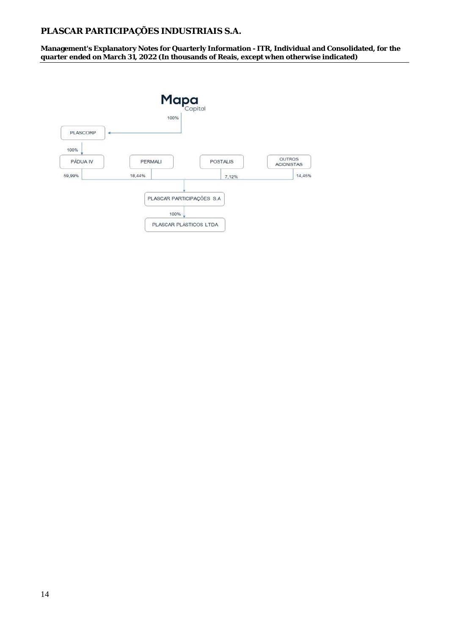**Management's Explanatory Notes for Quarterly Information - ITR, Individual and Consolidated, for the quarter ended on March 31, 2022 (In thousands of Reais, except when otherwise indicated)**

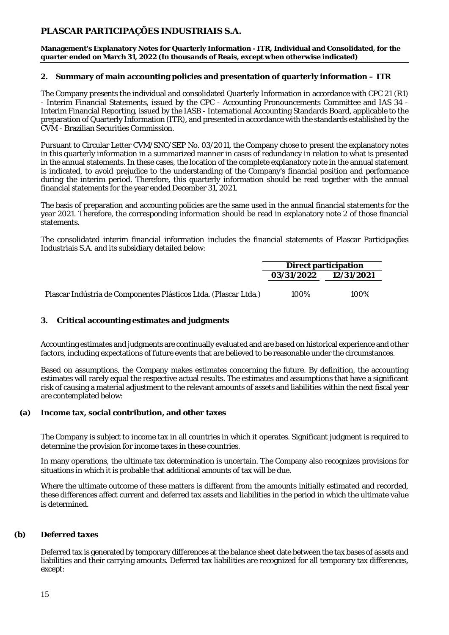**Management's Explanatory Notes for Quarterly Information - ITR, Individual and Consolidated, for the quarter ended on March 31, 2022 (In thousands of Reais, except when otherwise indicated)**

#### **2. Summary of main accounting policies and presentation of quarterly information – ITR**

The Company presents the individual and consolidated Quarterly Information in accordance with CPC 21 (R1) - Interim Financial Statements, issued by the CPC - Accounting Pronouncements Committee and IAS 34 - Interim Financial Reporting, issued by the IASB - International Accounting Standards Board, applicable to the preparation of Quarterly Information (ITR), and presented in accordance with the standards established by the CVM - Brazilian Securities Commission.

Pursuant to Circular Letter CVM/SNC/SEP No. 03/2011, the Company chose to present the explanatory notes in this quarterly information in a summarized manner in cases of redundancy in relation to what is presented in the annual statements. In these cases, the location of the complete explanatory note in the annual statement is indicated, to avoid prejudice to the understanding of the Company's financial position and performance during the interim period. Therefore, this quarterly information should be read together with the annual financial statements for the year ended December 31, 2021.

The basis of preparation and accounting policies are the same used in the annual financial statements for the year 2021. Therefore, the corresponding information should be read in explanatory note 2 of those financial statements.

The consolidated interim financial information includes the financial statements of Plascar Participações Industriais S.A. and its subsidiary detailed below:

|                                                                  |                       | Direct participation |
|------------------------------------------------------------------|-----------------------|----------------------|
|                                                                  | 03/31/2022 12/31/2021 |                      |
|                                                                  |                       |                      |
| Plascar Indústria de Componentes Plásticos Ltda. (Plascar Ltda.) | 100%                  | 100%                 |

#### **3. Critical accounting estimates and judgments**

Accounting estimates and judgments are continually evaluated and are based on historical experience and other factors, including expectations of future events that are believed to be reasonable under the circumstances.

Based on assumptions, the Company makes estimates concerning the future. By definition, the accounting estimates will rarely equal the respective actual results. The estimates and assumptions that have a significant risk of causing a material adjustment to the relevant amounts of assets and liabilities within the next fiscal year are contemplated below:

**(a) Income tax, social contribution, and other taxes**

The Company is subject to income tax in all countries in which it operates. Significant judgment is required to determine the provision for income taxes in these countries.

In many operations, the ultimate tax determination is uncertain. The Company also recognizes provisions for situations in which it is probable that additional amounts of tax will be due.

Where the ultimate outcome of these matters is different from the amounts initially estimated and recorded, these differences affect current and deferred tax assets and liabilities in the period in which the ultimate value is determined.

#### **(b)** *Deferred taxes*

Deferred tax is generated by temporary differences at the balance sheet date between the tax bases of assets and liabilities and their carrying amounts. Deferred tax liabilities are recognized for all temporary tax differences, except: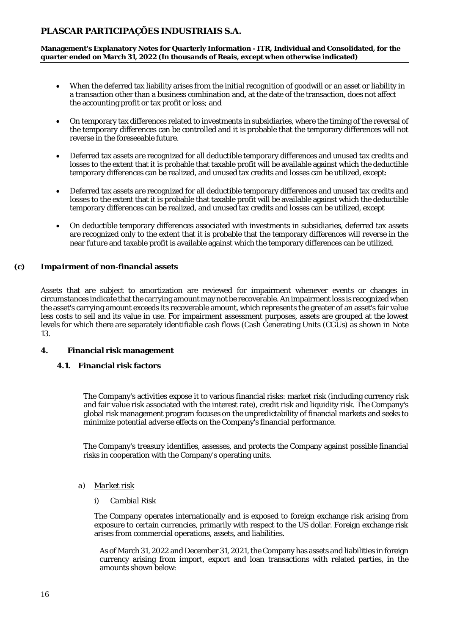**Management's Explanatory Notes for Quarterly Information - ITR, Individual and Consolidated, for the quarter ended on March 31, 2022 (In thousands of Reais, except when otherwise indicated)**

- When the deferred tax liability arises from the initial recognition of goodwill or an asset or liability in a transaction other than a business combination and, at the date of the transaction, does not affect the accounting profit or tax profit or loss; and
- On temporary tax differences related to investments in subsidiaries, where the timing of the reversal of the temporary differences can be controlled and it is probable that the temporary differences will not reverse in the foreseeable future.
- Deferred tax assets are recognized for all deductible temporary differences and unused tax credits and losses to the extent that it is probable that taxable profit will be available against which the deductible temporary differences can be realized, and unused tax credits and losses can be utilized, except:
- Deferred tax assets are recognized for all deductible temporary differences and unused tax credits and losses to the extent that it is probable that taxable profit will be available against which the deductible temporary differences can be realized, and unused tax credits and losses can be utilized, except
- On deductible temporary differences associated with investments in subsidiaries, deferred tax assets are recognized only to the extent that it is probable that the temporary differences will reverse in the near future and taxable profit is available against which the temporary differences can be utilized.
- **(c)** *Impairment* **of non-financial assets**

Assets that are subject to amortization are reviewed for impairment whenever events or changes in circumstances indicate that the carrying amount may not be recoverable. An impairment loss is recognized when the asset's carrying amount exceeds its recoverable amount, which represents the greater of an asset's fair value less costs to sell and its value in use. For impairment assessment purposes, assets are grouped at the lowest levels for which there are separately identifiable cash flows (Cash Generating Units (CGUs) as shown in Note 13.

- **4. Financial risk management**
	- **4.1. Financial risk factors**

The Company's activities expose it to various financial risks: market risk (including currency risk and fair value risk associated with the interest rate), credit risk and liquidity risk. The Company's global risk management program focuses on the unpredictability of financial markets and seeks to minimize potential adverse effects on the Company's financial performance.

The Company's treasury identifies, assesses, and protects the Company against possible financial risks in cooperation with the Company's operating units.

- *a) Market risk*
	- i) *Cambial Risk*

The Company operates internationally and is exposed to foreign exchange risk arising from exposure to certain currencies, primarily with respect to the US dollar. Foreign exchange risk arises from commercial operations, assets, and liabilities.

As of March 31, 2022 and December 31, 2021, the Company has assets and liabilities in foreign currency arising from import, export and loan transactions with related parties, in the amounts shown below: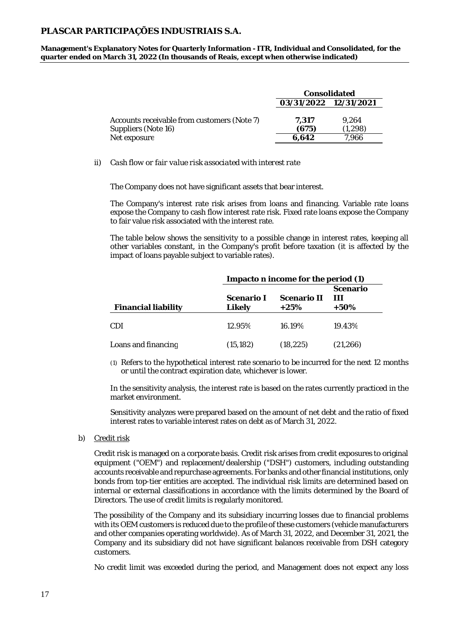**Management's Explanatory Notes for Quarterly Information - ITR, Individual and Consolidated, for the quarter ended on March 31, 2022 (In thousands of Reais, except when otherwise indicated)**

|                                                                                    | Consolidated            |                           |  |
|------------------------------------------------------------------------------------|-------------------------|---------------------------|--|
|                                                                                    | 03/31/2022 12/31/2021   |                           |  |
| Accounts receivable from customers (Note 7)<br>Suppliers (Note 16)<br>Net exposure | 7.317<br>(675)<br>6.642 | 9.264<br>(1.298)<br>7.966 |  |

ii) *Cash flow or fair value risk associated with interest rate*

The Company does not have significant assets that bear interest.

The Company's interest rate risk arises from loans and financing. Variable rate loans expose the Company to cash flow interest rate risk. Fixed rate loans expose the Company to fair value risk associated with the interest rate.

The table below shows the sensitivity to a possible change in interest rates, keeping all other variables constant, in the Company's profit before taxation (it is affected by the impact of loans payable subject to variable rates).

|                     | Impacto n income for the period (1) |                               |           |  |  |
|---------------------|-------------------------------------|-------------------------------|-----------|--|--|
| Financial liability | Scenario I<br>Likely                | Scenario<br>$\perp$<br>$+50%$ |           |  |  |
| CDI                 | 12.95%                              | 16.19%                        | 19.43%    |  |  |
| Loans and financing | (15, 182)                           | (18, 225)                     | (21, 266) |  |  |

(1) Refers to the hypothetical interest rate scenario to be incurred for the next 12 months or until the contract expiration date, whichever is lower.

In the sensitivity analysis, the interest rate is based on the rates currently practiced in the market environment.

Sensitivity analyzes were prepared based on the amount of net debt and the ratio of fixed interest rates to variable interest rates on debt as of March 31, 2022.

b) Credit risk

Credit risk is managed on a corporate basis. Credit risk arises from credit exposures to original equipment ("OEM") and replacement/dealership ("DSH") customers, including outstanding accounts receivable and repurchase agreements. For banks and other financial institutions, only bonds from top-tier entities are accepted. The individual risk limits are determined based on internal or external classifications in accordance with the limits determined by the Board of Directors. The use of credit limits is regularly monitored.

The possibility of the Company and its subsidiary incurring losses due to financial problems with its OEM customers is reduced due to the profile of these customers (vehicle manufacturers and other companies operating worldwide). As of March 31, 2022, and December 31, 2021, the Company and its subsidiary did not have significant balances receivable from DSH category customers.

No credit limit was exceeded during the period, and Management does not expect any loss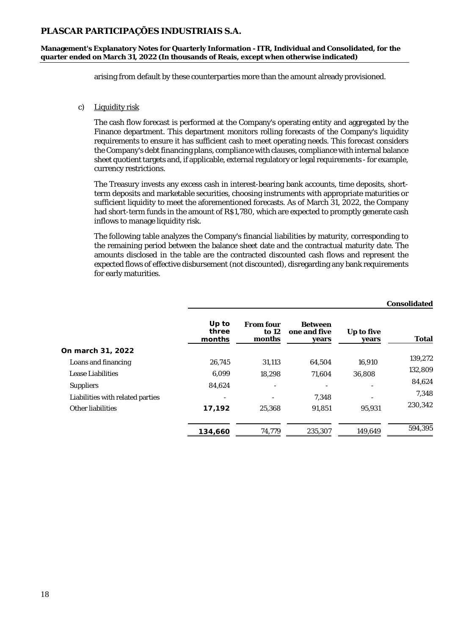**Management's Explanatory Notes for Quarterly Information - ITR, Individual and Consolidated, for the quarter ended on March 31, 2022 (In thousands of Reais, except when otherwise indicated)**

arising from default by these counterparties more than the amount already provisioned.

#### c) Liquidity risk

The cash flow forecast is performed at the Company's operating entity and aggregated by the Finance department. This department monitors rolling forecasts of the Company's liquidity requirements to ensure it has sufficient cash to meet operating needs. This forecast considers the Company's debt financing plans, compliance with clauses, compliance with internal balance sheet quotient targets and, if applicable, external regulatory or legal requirements - for example, currency restrictions.

The Treasury invests any excess cash in interest-bearing bank accounts, time deposits, shortterm deposits and marketable securities, choosing instruments with appropriate maturities or sufficient liquidity to meet the aforementioned forecasts. As of March 31, 2022, the Company had short-term funds in the amount of R\$1,780, which are expected to promptly generate cash inflows to manage liquidity risk.

The following table analyzes the Company's financial liabilities by maturity, corresponding to the remaining period between the balance sheet date and the contractual maturity date. The amounts disclosed in the table are the contracted discounted cash flows and represent the expected flows of effective disbursement (not discounted), disregarding any bank requirements for early maturities.

|                                  |                          |                                |                                         |                     | Consolidated |
|----------------------------------|--------------------------|--------------------------------|-----------------------------------------|---------------------|--------------|
|                                  | Up to<br>three<br>months | From four<br>to $12$<br>months | <b>Between</b><br>one and five<br>years | Up to five<br>years | Total        |
| On march 31, 2022                |                          |                                |                                         |                     |              |
| Loans and financing              | 26,745                   | 31,113                         | 64,504                                  | 16,910              | 139,272      |
| Lease Liabilities                | 6,099                    | 18,298                         | 71,604                                  | 36,808              | 132,809      |
| Suppliers                        | 84,624                   |                                |                                         |                     | 84,624       |
| Liabilities with related parties |                          |                                | 7.348                                   |                     | 7,348        |
| Other liabilities                | 17,192                   | 25,368                         | 91.851                                  | 95.931              | 230,342      |
|                                  | 134,660                  | 74,779                         | 235,307                                 | 149,649             | 594,395      |

18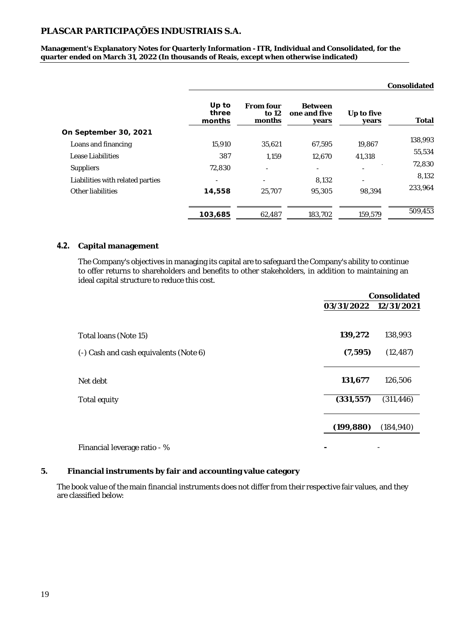**Management's Explanatory Notes for Quarterly Information - ITR, Individual and Consolidated, for the quarter ended on March 31, 2022 (In thousands of Reais, except when otherwise indicated)**

|                                  |                          |                              |                                         |                     | Consolidated |
|----------------------------------|--------------------------|------------------------------|-----------------------------------------|---------------------|--------------|
|                                  | Up to<br>three<br>months | From four<br>to 12<br>months | <b>Between</b><br>one and five<br>years | Up to five<br>years | Total        |
| On September 30, 2021            |                          |                              |                                         |                     |              |
| Loans and financing              | 15,910                   | 35,621                       | 67,595                                  | 19,867              | 138,993      |
| Lease Liabilities                | 387                      | 1.159                        | 12,670                                  | 41,318              | 55,534       |
| Suppliers                        | 72,830                   | ٠                            | $\overline{\phantom{a}}$                |                     | 72,830       |
| Liabilities with related parties |                          | $\overline{\phantom{a}}$     | 8,132                                   | ٠                   | 8,132        |
| Other liabilities                | 14,558                   | 25,707                       | 95,305                                  | 98,394              | 233,964      |
|                                  | 103,685                  | 62,487                       | 183,702                                 | 159,579             | 509,453      |

#### **4.2. Capital management**

The Company's objectives in managing its capital are to safeguard the Company's ability to continue to offer returns to shareholders and benefits to other stakeholders, in addition to maintaining an ideal capital structure to reduce this cost.

|                                        |            | Consolidated |
|----------------------------------------|------------|--------------|
|                                        | 03/31/2022 | 12/31/2021   |
|                                        |            |              |
| Total Ioans (Note 15)                  | 139,272    | 138,993      |
| (-) Cash and cash equivalents (Note 6) | (7, 595)   | (12, 487)    |
|                                        |            |              |
| Net debt                               | 131,677    | 126,506      |
| Total equity                           | (331, 557) | (311, 446)   |
|                                        |            |              |
|                                        | (199, 880) | (184, 940)   |
| Financial leverage ratio - %           |            |              |

#### **5. Financial instruments by fair and accounting value category**

The book value of the main financial instruments does not differ from their respective fair values, and they are classified below: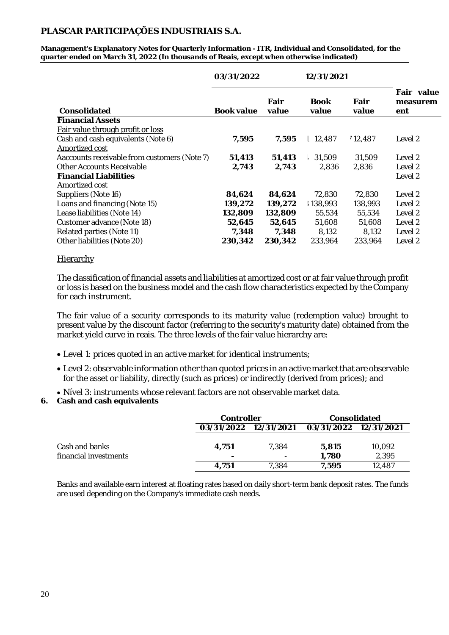**Management's Explanatory Notes for Quarterly Information - ITR, Individual and Consolidated, for the quarter ended on March 31, 2022 (In thousands of Reais, except when otherwise indicated)**

|                                              | 03/31/2022 |               | 12/31/2021           |               |                               |
|----------------------------------------------|------------|---------------|----------------------|---------------|-------------------------------|
| Consolidated                                 | Book value | Fair<br>value | <b>Book</b><br>value | Fair<br>value | Fair value<br>measurem<br>ent |
| <b>Financial Assets</b>                      |            |               |                      |               |                               |
| Fair value through profit or loss            |            |               |                      |               |                               |
| Cash and cash equivalents (Note 6)           | 7,595      | 7,595         | 12,487               | 12,487        | Level 2                       |
| Amortized cost                               |            |               |                      |               |                               |
| Aaccounts receivable from customers (Note 7) | 51,413     | 51,413        | 31,509               | 31,509        | Level 2                       |
| <b>Other Accounts Receivable</b>             | 2,743      | 2,743         | 2.836                | 2.836         | Level 2                       |
| <b>Financial Liabilities</b>                 |            |               |                      |               | Level 2                       |
| Amortized cost                               |            |               |                      |               |                               |
| Suppliers (Note 16)                          | 84,624     | 84,624        | 72,830               | 72,830        | Level 2                       |
| Loans and financing (Note 15)                | 139,272    | 139,272       | 138,993              | 138,993       | Level 2                       |
| Lease liabilities (Note 14)                  | 132,809    | 132,809       | 55,534               | 55,534        | Level 2                       |
| Customer advance (Note 18)                   | 52,645     | 52,645        | 51,608               | 51,608        | Level 2                       |
| Related parties (Note 11)                    | 7,348      | 7,348         | 8,132                | 8,132         | Level 2                       |
| Other liabilities (Note 20)                  | 230,342    | 230,342       | 233,964              | 233,964       | Level 2                       |

#### **Hierarchy**

The classification of financial assets and liabilities at amortized cost or at fair value through profit or loss is based on the business model and the cash flow characteristics expected by the Company for each instrument.

The fair value of a security corresponds to its maturity value (redemption value) brought to present value by the discount factor (referring to the security's maturity date) obtained from the market yield curve in reais. The three levels of the fair value hierarchy are:

- Level 1: prices quoted in an active market for identical instruments;
- Level 2: observable information other than quoted prices in an active market that are observable for the asset or liability, directly (such as prices) or indirectly (derived from prices); and
- Nível 3: instruments whose relevant factors are not observable market data.
- **6. Cash and cash equivalents**

|                                         |            | Controller                        |                | Consolidated          |
|-----------------------------------------|------------|-----------------------------------|----------------|-----------------------|
|                                         |            | 03/31/2022 12/31/2021             |                | 03/31/2022 12/31/2021 |
| Cash and banks<br>financial investments | 4,751<br>- | 7.384<br>$\overline{\phantom{a}}$ | 5.815<br>1,780 | 10,092<br>2.395       |
|                                         | 4.751      | 7.384                             | 7.595          | 12,487                |

Banks and available earn interest at floating rates based on daily short-term bank deposit rates. The funds are used depending on the Company's immediate cash needs.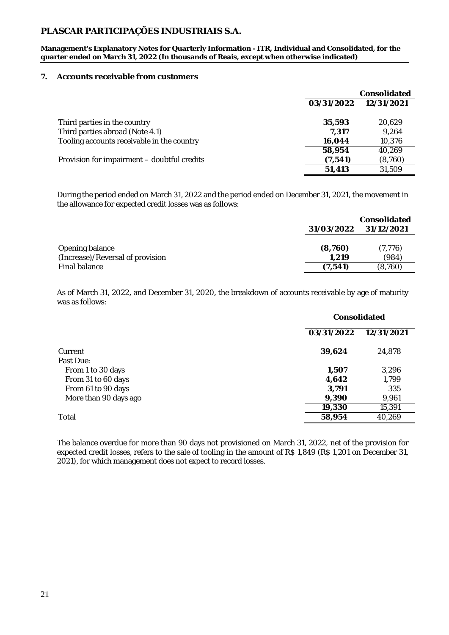**Management's Explanatory Notes for Quarterly Information - ITR, Individual and Consolidated, for the quarter ended on March 31, 2022 (In thousands of Reais, except when otherwise indicated)**

#### **7. Accounts receivable from customers**

|                                             | Consolidated |            |  |
|---------------------------------------------|--------------|------------|--|
|                                             | 03/31/2022   | 12/31/2021 |  |
|                                             |              |            |  |
| Third parties in the country                | 35,593       | 20.629     |  |
| Third parties abroad (Note 4.1)             | 7.317        | 9.264      |  |
| Tooling accounts receivable in the country  | 16,044       | 10,376     |  |
|                                             | 58,954       | 40.269     |  |
| Provision for impairment – doubtful credits | (7, 541)     | (8,760)    |  |
|                                             | 51,413       | 31,509     |  |

During the period ended on March 31, 2022 and the period ended on December 31, 2021, the movement in the allowance for expected credit losses was as follows:

|                                  |            | Consolidated |
|----------------------------------|------------|--------------|
|                                  | 31/03/2022 | 31/12/2021   |
|                                  |            |              |
| Opening balance                  | (8,760)    | (7, 776)     |
| (Increase)/Reversal of provision | 1.219      | (984)        |
| Final balance                    | (7.541     | (8,760)      |

As of March 31, 2022, and December 31, 2020, the breakdown of accounts receivable by age of maturity was as follows:

|                       |            | Consolidated |  |  |
|-----------------------|------------|--------------|--|--|
|                       | 03/31/2022 | 12/31/2021   |  |  |
| Current               | 39,624     | 24,878       |  |  |
| Past Due:             |            |              |  |  |
| From 1 to 30 days     | 1,507      | 3,296        |  |  |
| From 31 to 60 days    | 4,642      | 1,799        |  |  |
| From 61 to 90 days    | 3,791      | 335          |  |  |
| More than 90 days ago | 9,390      | 9,961        |  |  |
|                       | 19,330     | 15,391       |  |  |
| Total                 | 58,954     | 40,269       |  |  |
|                       |            |              |  |  |

The balance overdue for more than 90 days not provisioned on March 31, 2022, net of the provision for expected credit losses, refers to the sale of tooling in the amount of R\$ 1,849 (R\$ 1,201 on December 31, 2021), for which management does not expect to record losses.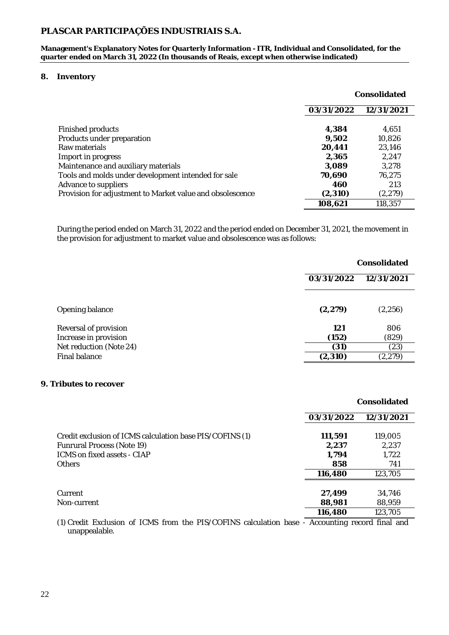**Management's Explanatory Notes for Quarterly Information - ITR, Individual and Consolidated, for the** quarter ended on March 31, 2022 (In thousands of Reais, except when otherwise indicated)

#### **8. Inventory**

|                                                           |            | Consolidated |  |
|-----------------------------------------------------------|------------|--------------|--|
|                                                           | 03/31/2022 | 12/31/2021   |  |
|                                                           |            |              |  |
| Finished products                                         | 4,384      | 4,651        |  |
| Products under preparation                                | 9,502      | 10,826       |  |
| Raw materials                                             | 20,441     | 23,146       |  |
| Import in progress                                        | 2,365      | 2,247        |  |
| Maintenance and auxiliary materials                       | 3,089      | 3,278        |  |
| Tools and molds under development intended for sale       | 70,690     | 76,275       |  |
| Advance to suppliers                                      | 460        | 213          |  |
| Provision for adjustment to Market value and obsolescence | (2,310)    | (2, 279)     |  |
|                                                           | 108,621    | 118,357      |  |

During the period ended on March 31, 2022 and the period ended on December 31, 2021, the movement in the provision for adjustment to market value and obsolescence was as follows:

|                         | Consolidated             |          |  |
|-------------------------|--------------------------|----------|--|
|                         | 03/31/2022<br>12/31/2021 |          |  |
|                         |                          |          |  |
| Opening balance         | (2, 279)                 | (2, 256) |  |
| Reversal of provision   | 121                      | 806      |  |
| Increase in provision   | (152)                    | (829)    |  |
| Net reduction (Note 24) | (31)                     | (23)     |  |
| Final balance           | (2, 310)                 | (2, 279) |  |
|                         |                          |          |  |

#### **9. Tributes to recover**

|                                                                                                                                        |                                  | Consolidated                     |
|----------------------------------------------------------------------------------------------------------------------------------------|----------------------------------|----------------------------------|
|                                                                                                                                        | 03/31/2022                       | 12/31/2021                       |
| Credit exclusion of ICMS calculation base PIS/COFINS (1)<br>Funrural Process (Note 19)<br>ICMS on fixed assets - CIAP<br><b>Others</b> | 111,591<br>2,237<br>1,794<br>858 | 119,005<br>2.237<br>1,722<br>741 |
|                                                                                                                                        | 116,480                          | 123,705                          |
| Current<br>Non-current                                                                                                                 | 27,499<br>88,981                 | 34,746<br>88,959                 |
|                                                                                                                                        | 116,480                          | 123,705                          |

(1) Credit Exclusion of ICMS from the PIS/COFINS calculation base - Accounting record final and unappealable.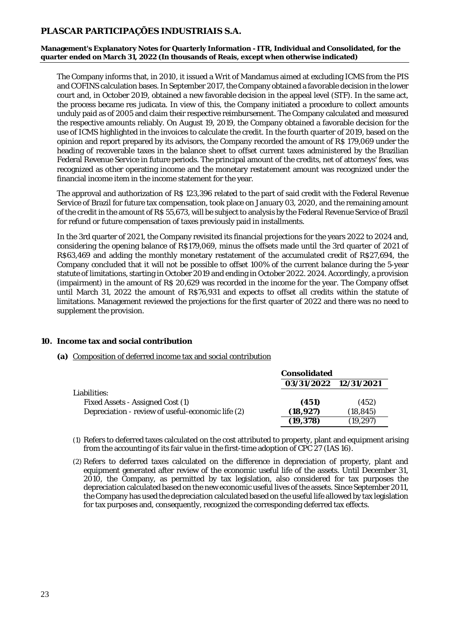**Management's Explanatory Notes for Quarterly Information - ITR, Individual and Consolidated, for the quarter ended on March 31, 2022 (In thousands of Reais, except when otherwise indicated)**

The Company informs that, in 2010, it issued a Writ of Mandamus aimed at excluding ICMS from the PIS and COFINS calculation bases. In September 2017, the Company obtained a favorable decision in the lower court and, in October 2019, obtained a new favorable decision in the appeal level (STF). In the same act, the process became res judicata. In view of this, the Company initiated a procedure to collect amounts unduly paid as of 2005 and claim their respective reimbursement. The Company calculated and measured the respective amounts reliably. On August 19, 2019, the Company obtained a favorable decision for the use of ICMS highlighted in the invoices to calculate the credit. In the fourth quarter of 2019, based on the opinion and report prepared by its advisors, the Company recorded the amount of R\$ 179,069 under the heading of recoverable taxes in the balance sheet to offset current taxes administered by the Brazilian Federal Revenue Service in future periods. The principal amount of the credits, net of attorneys' fees, was recognized as other operating income and the monetary restatement amount was recognized under the financial income item in the income statement for the year.

The approval and authorization of R\$ 123,396 related to the part of said credit with the Federal Revenue Service of Brazil for future tax compensation, took place on January 03, 2020, and the remaining amount of the credit in the amount of R\$ 55,673, will be subject to analysis by the Federal Revenue Service of Brazil for refund or future compensation of taxes previously paid in installments.

In the 3rd quarter of 2021, the Company revisited its financial projections for the years 2022 to 2024 and, considering the opening balance of R\$179,069, minus the offsets made until the 3rd quarter of 2021 of R\$63,469 and adding the monthly monetary restatement of the accumulated credit of R\$27,694, the Company concluded that it will not be possible to offset 100% of the current balance during the 5-year statute of limitations, starting in October 2019 and ending in October 2022. 2024. Accordingly, a provision (impairment) in the amount of R\$ 20,629 was recorded in the income for the year. The Company offset until March 31, 2022 the amount of R\$76,931 and expects to offset all credits within the statute of limitations. Management reviewed the projections for the first quarter of 2022 and there was no need to supplement the provision.

**10. Income tax and social contribution**

#### **(a)** Composition of deferred income tax and social contribution

|                                                   | Consolidated          |           |  |
|---------------------------------------------------|-----------------------|-----------|--|
|                                                   | 03/31/2022 12/31/2021 |           |  |
| Liabilities:                                      |                       |           |  |
| Fixed Assets - Assigned Cost (1)                  | (451)                 | (452)     |  |
| Depreciation - review of useful-economic life (2) | (18, 927)             | (18, 845) |  |
|                                                   | (19, 378)             | (19, 297) |  |

(1) Refers to deferred taxes calculated on the cost attributed to property, plant and equipment arising from the accounting of its fair value in the first-time adoption of CPC 27 (IAS 16).

(2) Refers to deferred taxes calculated on the difference in depreciation of property, plant and equipment generated after review of the economic useful life of the assets. Until December 31, 2010, the Company, as permitted by tax legislation, also considered for tax purposes the depreciation calculated based on the new economic useful lives of the assets. Since September 2011, the Company has used the depreciation calculated based on the useful life allowed by tax legislation for tax purposes and, consequently, recognized the corresponding deferred tax effects.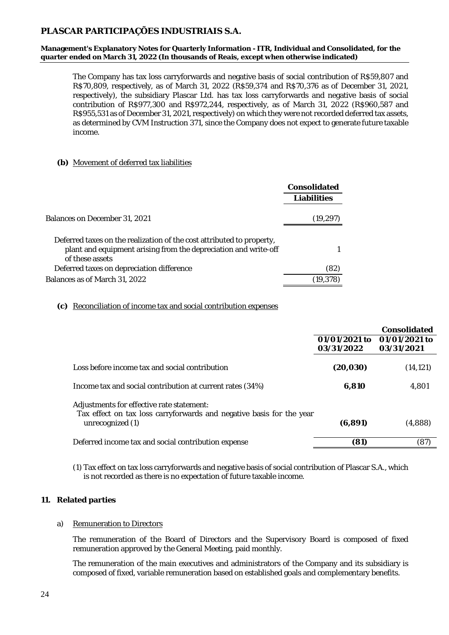**Management's Explanatory Notes for Quarterly Information - ITR, Individual and Consolidated, for the quarter ended on March 31, 2022 (In thousands of Reais, except when otherwise indicated)**

The Company has tax loss carryforwards and negative basis of social contribution of R\$59,807 and R\$70,809, respectively, as of March 31, 2022 (R\$59,374 and R\$70,376 as of December 31, 2021, respectively), the subsidiary Plascar Ltd. has tax loss carryforwards and negative basis of social contribution of R\$977,300 and R\$972,244, respectively, as of March 31, 2022 (R\$960,587 and R\$955,531 as of December 31, 2021, respectively) on which they were not recorded deferred tax assets, as determined by CVM Instruction 371, since the Company does not expect to generate future taxable income.

#### **(b)** Movement of deferred tax liabilities

|                                                                                                                                                             | Consolidated |
|-------------------------------------------------------------------------------------------------------------------------------------------------------------|--------------|
|                                                                                                                                                             | Liabilities  |
| Balances on December 31, 2021                                                                                                                               | (19,297)     |
| Deferred taxes on the realization of the cost attributed to property,<br>plant and equipment arising from the depreciation and write-off<br>of these assets |              |
| Deferred taxes on depreciation difference                                                                                                                   | (82)         |
| Balances as of March 31, 2022                                                                                                                               | (19,378)     |

#### **(c)** Reconciliation of income tax and social contribution expenses

|                                                                                                                   |               | Consolidated  |
|-------------------------------------------------------------------------------------------------------------------|---------------|---------------|
|                                                                                                                   | 01/01/2021 to | 01/01/2021 to |
|                                                                                                                   | 03/31/2022    | 03/31/2021    |
| Loss before income tax and social contribution                                                                    | (20, 030)     | (14, 121)     |
| Income tax and social contribution at current rates (34%)                                                         | 6.810         | 4,801         |
| Adjustments for effective rate statement:<br>Tax effect on tax loss carryforwards and negative basis for the year |               |               |
| unrecognized (1)                                                                                                  | (6, 891)      | (4,888)       |
| Deferred income tax and social contribution expense                                                               | 81)           | (87)          |

(1) Tax effect on tax loss carryforwards and negative basis of social contribution of Plascar S.A., which is not recorded as there is no expectation of future taxable income.

#### **11. Related parties**

#### a) Remuneration to Directors

The remuneration of the Board of Directors and the Supervisory Board is composed of fixed remuneration approved by the General Meeting, paid monthly.

The remuneration of the main executives and administrators of the Company and its subsidiary is composed of fixed, variable remuneration based on established goals and complementary benefits.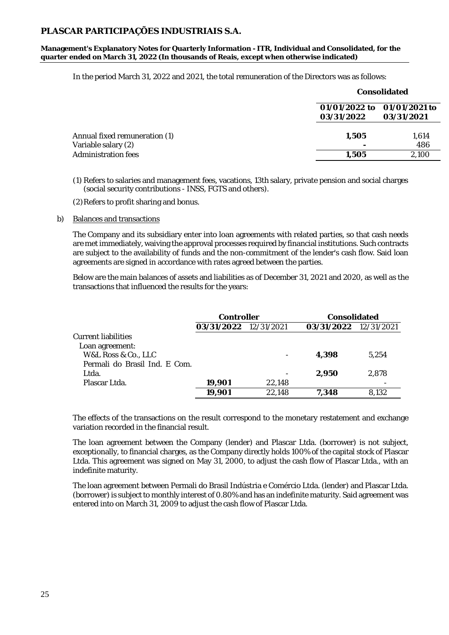**Management's Explanatory Notes for Quarterly Information - ITR, Individual and Consolidated, for the quarter ended on March 31, 2022 (In thousands of Reais, except when otherwise indicated)**

In the period March 31, 2022 and 2021, the total remuneration of the Directors was as follows:

|                                                      | Consolidated                                            |              |  |
|------------------------------------------------------|---------------------------------------------------------|--------------|--|
|                                                      | 01/01/2022 to 01/01/2021 to<br>03/31/2022<br>03/31/2021 |              |  |
| Annual fixed remuneration (1)<br>Variable salary (2) | 1,505                                                   | 1,614<br>486 |  |
| Administration fees                                  | 1.505                                                   | 2,100        |  |

(1) Refers to salaries and management fees, vacations, 13th salary, private pension and social charges (social security contributions - INSS, FGTS and others).

(2)Refers to profit sharing and bonus.

#### b) Balances and transactions

The Company and its subsidiary enter into loan agreements with related parties, so that cash needs are met immediately, waiving the approval processes required by financial institutions. Such contracts are subject to the availability of funds and the non-commitment of the lender's cash flow. Said loan agreements are signed in accordance with rates agreed between the parties.

Below are the main balances of assets and liabilities as of December 31, 2021 and 2020, as well as the transactions that influenced the results for the years:

|                               | Controller            |        | Consolidated          |       |  |
|-------------------------------|-----------------------|--------|-----------------------|-------|--|
|                               | 03/31/2022 12/31/2021 |        | 03/31/2022 12/31/2021 |       |  |
| Current liabilities           |                       |        |                       |       |  |
| Loan agreement:               |                       |        |                       |       |  |
| W&L Ross & Co., LLC           |                       |        | 4.398                 | 5.254 |  |
| Permali do Brasil Ind. E Com. |                       |        |                       |       |  |
| Ltda.                         |                       |        | 2.950                 | 2.878 |  |
| Plascar Ltda.                 | 19,901                | 22.148 |                       |       |  |
|                               | 19.901                | 22,148 | 7.348                 | 8.132 |  |

The effects of the transactions on the result correspond to the monetary restatement and exchange variation recorded in the financial result.

The loan agreement between the Company (lender) and Plascar Ltda. (borrower) is not subject, exceptionally, to financial charges, as the Company directly holds 100% of the capital stock of Plascar Ltda. This agreement was signed on May 31, 2000, to adjust the cash flow of Plascar Ltda., with an indefinite maturity.

The loan agreement between Permali do Brasil Indústria e Comércio Ltda. (lender) and Plascar Ltda. (borrower) is subject to monthly interest of 0.80% and has an indefinite maturity. Said agreement was entered into on March 31, 2009 to adjust the cash flow of Plascar Ltda.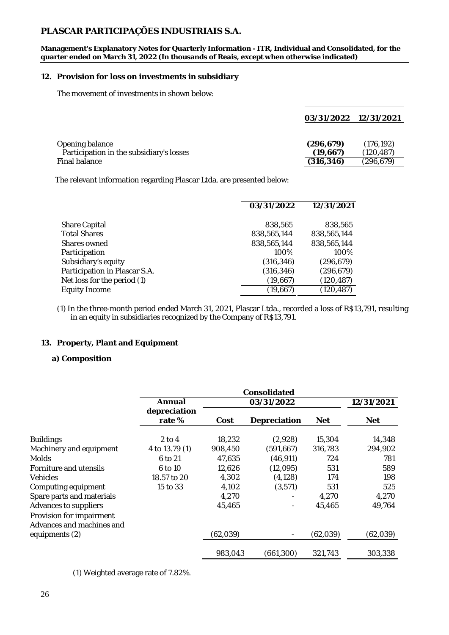**Management's Explanatory Notes for Quarterly Information - ITR, Individual and Consolidated, for the quarter ended on March 31, 2022 (In thousands of Reais, except when otherwise indicated)**

#### **12. Provision for loss on investments in subsidiary**

The movement of investments in shown below:

|                                          | 03/31/2022 12/31/2021 |            |
|------------------------------------------|-----------------------|------------|
|                                          |                       |            |
| Opening balance                          | (296, 679)            | (176, 192) |
| Participation in the subsidiary's losses | (19,667)              | (120, 487) |
| Final balance                            | (316,346)             | (296, 679) |

The relevant information regarding Plascar Ltda. are presented below:

|                               | 03/31/2022  | 12/31/2021  |
|-------------------------------|-------------|-------------|
|                               |             |             |
| Share Capital                 | 838,565     | 838,565     |
| <b>Total Shares</b>           | 838,565,144 | 838,565,144 |
| Shares owned                  | 838,565,144 | 838,565,144 |
| Participation                 | 100%        | 100%        |
| Subsidiary's equity           | (316, 346)  | (296, 679)  |
| Participation in Plascar S.A. | (316, 346)  | (296, 679)  |
| Net loss for the period (1)   | (19,667)    | (120, 487)  |
| Equity Income                 | (19,667)    | (120, 487)  |

(1)In the three-month period ended March 31, 2021, Plascar Ltda., recorded a loss of R\$13,791, resulting in an equity in subsidiaries recognized by the Company of R\$13,791.

#### **13. Property, Plant and Equipment**

#### **a) Composition**

|                                                       | Consolidated   |           |              |           |            |
|-------------------------------------------------------|----------------|-----------|--------------|-----------|------------|
|                                                       | Annual         |           | 03/31/2022   |           | 12/31/2021 |
|                                                       | depreciation   |           |              |           |            |
|                                                       | rate%          | Cost      | Depreciation | Net       | <b>Net</b> |
| <b>Buildings</b>                                      | $2$ to 4       | 18,232    | (2,928)      | 15,304    | 14,348     |
| Machinery and equipment                               | 4 to 13.79 (1) | 908,450   | (591, 667)   | 316,783   | 294,902    |
| <b>Molds</b>                                          | 6 to 21        | 47,635    | (46, 911)    | 724       | 781        |
| Forniture and utensils                                | 6 to 10        | 12,626    | (12,095)     | 531       | 589        |
| <b>Vehicles</b>                                       | 18.57 to 20    | 4,302     | (4, 128)     | 174       | 198        |
| Computing equipment                                   | 15 to 33       | 4,102     | (3, 571)     | 531       | 525        |
| Spare parts and materials                             |                | 4,270     |              | 4,270     | 4,270      |
| Advances to suppliers                                 |                | 45,465    |              | 45,465    | 49,764     |
| Provision for impairment<br>Advances and machines and |                |           |              |           |            |
| equipments (2)                                        |                | (62, 039) |              | (62, 039) | (62, 039)  |
|                                                       |                | 983,043   | (661, 300)   | 321,743   | 303,338    |

(1) Weighted average rate of 7.82%.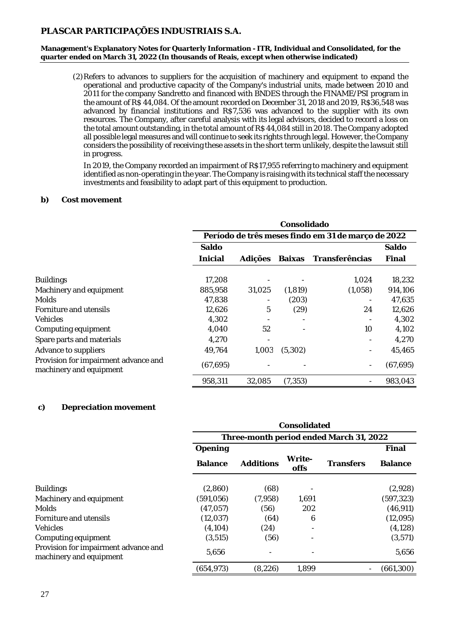**Management's Explanatory Notes for Quarterly Information - ITR, Individual and Consolidated, for the quarter ended on March 31, 2022 (In thousands of Reais, except when otherwise indicated)**

(2)Refers to advances to suppliers for the acquisition of machinery and equipment to expand the operational and productive capacity of the Company's industrial units, made between 2010 and 2011 for the company Sandretto and financed with BNDES through the FINAME/PSI program in the amount of R\$ 44,084. Of the amount recorded on December 31, 2018 and 2019, R\$36,548 was advanced by financial institutions and R\$7,536 was advanced to the supplier with its own resources. The Company, after careful analysis with its legal advisors, decided to record a loss on the total amount outstanding, in the total amount of R\$ 44,084 still in 2018. The Company adopted all possible legal measures and will continue to seek its rights through legal. However, the Company considers the possibility of receiving these assets in the short term unlikely, despite the lawsuit still in progress.

In 2019, the Company recorded an impairment of R\$17,955 referring to machinery and equipment identified as non-operating in the year. The Company is raising with its technical staff the necessary investments and feasibility to adapt part of this equipment to production.

#### **b) Cost movement**

|                                                                 | Consolidado                                        |         |          |                |           |
|-----------------------------------------------------------------|----------------------------------------------------|---------|----------|----------------|-----------|
|                                                                 | Período de três meses findo em 31 de março de 2022 |         |          |                |           |
|                                                                 | Saldo                                              |         |          |                | Saldo     |
|                                                                 | Inicial                                            | Adições | Baixas   | Transferências | Final     |
| <b>Buildings</b>                                                | 17,208                                             |         |          | 1,024          | 18,232    |
| Machinery and equipment                                         | 885,958                                            | 31,025  | (1, 819) | (1,058)        | 914,106   |
| <b>Molds</b>                                                    | 47.838                                             |         | (203)    |                | 47,635    |
| Forniture and utensils                                          | 12,626                                             | 5       | (29)     | 24             | 12,626    |
| <b>Vehicles</b>                                                 | 4,302                                              |         |          |                | 4,302     |
| Computing equipment                                             | 4,040                                              | 52      |          | 10             | 4,102     |
| Spare parts and materials                                       | 4,270                                              |         |          |                | 4,270     |
| Advance to suppliers                                            | 49,764                                             | 1,003   | (5,302)  |                | 45,465    |
| Provision for impairment advance and<br>machinery and equipment | (67, 695)                                          |         |          |                | (67, 695) |
|                                                                 | 958,311                                            | 32,085  | (7, 353) |                | 983,043   |

#### **c) Depreciation movement**

|                                                                 | Consolidated                            |           |                |           |                |
|-----------------------------------------------------------------|-----------------------------------------|-----------|----------------|-----------|----------------|
|                                                                 | Three-month period ended March 31, 2022 |           |                |           |                |
|                                                                 | Opening                                 |           |                |           | Final          |
|                                                                 | Balance                                 | Additions | Write-<br>offs | Transfers | <b>Balance</b> |
| <b>Buildings</b>                                                | (2,860)                                 | (68)      |                |           | (2,928)        |
| Machinery and equipment                                         | (591, 056)                              | (7,958)   | 1,691          |           | (597, 323)     |
| Molds                                                           | (47, 057)                               | (56)      | 202            |           | (46, 911)      |
| Forniture and utensils                                          | (12, 037)                               | (64)      | 6              |           | (12,095)       |
| <b>Vehicles</b>                                                 | (4, 104)                                | (24)      |                |           | (4, 128)       |
| Computing equipment                                             | (3, 515)                                | (56)      |                |           | (3, 571)       |
| Provision for impairment advance and<br>machinery and equipment | 5,656                                   |           |                |           | 5,656          |
|                                                                 | (654, 973)                              | (8, 226)  | 1,899          |           | (661, 300)     |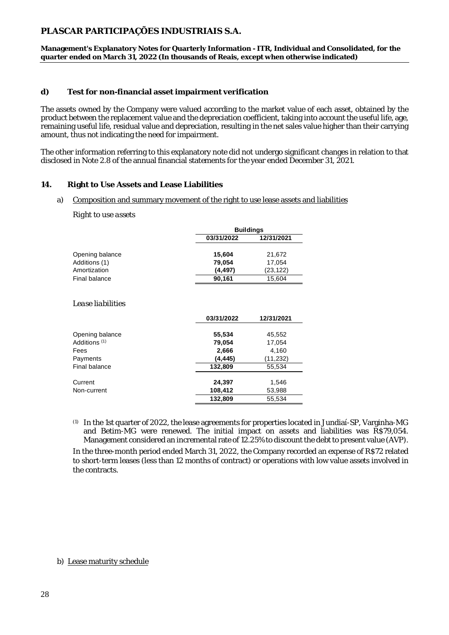**Management's Explanatory Notes for Quarterly Information - ITR, Individual and Consolidated, for the quarter ended on March 31, 2022 (In thousands of Reais, except when otherwise indicated)**

#### **d) Test for non-financial asset impairment verification**

The assets owned by the Company were valued according to the market value of each asset, obtained by the product between the replacement value and the depreciation coefficient, taking into account the useful life, age, remaining useful life, residual value and depreciation, resulting in the net sales value higher than their carrying amount, thus not indicating the need for impairment.

The other information referring to this explanatory note did not undergo significant changes in relation to that disclosed in Note 2.8 of the annual financial statements for the year ended December 31, 2021.

#### **14. Right to Use Assets and Lease Liabilities**

#### a) Composition and summary movement of the right to use lease assets and liabilities

*Right to use assets*

|                 |                  | <b>Buildings</b> |  |  |
|-----------------|------------------|------------------|--|--|
|                 | 03/31/2022       | 12/31/2021       |  |  |
| Opening balance | 15,604           | 21,672           |  |  |
| Additions (1)   | 79,054           | 17,054           |  |  |
| Amortization    | (4, 497)         | (23, 122)        |  |  |
| Final balance   | 90,161<br>15,604 |                  |  |  |

*Lease liabilities*

|                          | 03/31/2022 | 12/31/2021 |
|--------------------------|------------|------------|
|                          |            |            |
| Opening balance          | 55,534     | 45,552     |
| Additions <sup>(1)</sup> | 79,054     | 17,054     |
| Fees                     | 2,666      | 4,160      |
| Payments                 | (4, 445)   | (11, 232)  |
| Final balance            | 132,809    | 55.534     |
|                          |            |            |
| Current                  | 24,397     | 1,546      |
| Non-current              | 108,412    | 53,988     |
|                          | 132,809    | 55,534     |

(1) In the 1st quarter of 2022, the lease agreements for properties located in Jundiaí-SP, Varginha-MG and Betim-MG were renewed. The initial impact on assets and liabilities was R\$79,054. Management considered an incremental rate of 12.25% to discount the debt to present value (AVP).

In the three-month period ended March 31, 2022, the Company recorded an expense of R\$72 related to short-term leases (less than 12 months of contract) or operations with low value assets involved in the contracts.

b) Lease maturity schedule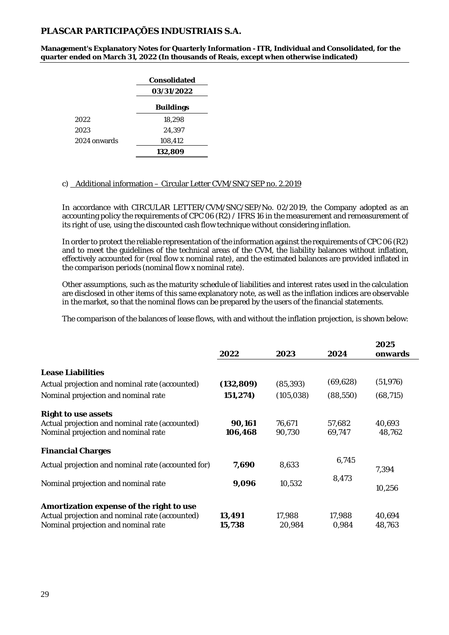**Management's Explanatory Notes for Quarterly Information - ITR, Individual and Consolidated, for the quarter ended on March 31, 2022 (In thousands of Reais, except when otherwise indicated)**

|              | Consolidated     |  |
|--------------|------------------|--|
|              | 03/31/2022       |  |
|              | <b>Buildings</b> |  |
| 2022         | 18,298           |  |
| 2023         | 24,397           |  |
| 2024 onwards | 108,412          |  |
|              | 132,809          |  |

#### c) Additional information – Circular Letter CVM/SNC/SEP no. 2.2019

In accordance with CIRCULAR LETTER/CVM/SNC/SEP/No. 02/2019, the Company adopted as an accounting policy the requirements of CPC 06 (R2) / IFRS 16 in the measurement and remeasurement of its right of use, using the discounted cash flow technique without considering inflation.

In order to protect the reliable representation of the information against the requirements of CPC 06 (R2) and to meet the guidelines of the technical areas of the CVM, the liability balances without inflation, effectively accounted for (real flow x nominal rate), and the estimated balances are provided inflated in the comparison periods (nominal flow x nominal rate).

Other assumptions, such as the maturity schedule of liabilities and interest rates used in the calculation are disclosed in other items of this same explanatory note, as well as the inflation indices are observable in the market, so that the nominal flows can be prepared by the users of the financial statements.

The comparison of the balances of lease flows, with and without the inflation projection, is shown below:

|                                                                                                                                   | 2022              | 2023             | 2024             | 2025<br>onwards  |
|-----------------------------------------------------------------------------------------------------------------------------------|-------------------|------------------|------------------|------------------|
| Lease Liabilities                                                                                                                 |                   |                  |                  |                  |
| Actual projection and nominal rate (accounted)                                                                                    | (132, 809)        | (85, 393)        | (69, 628)        | (51, 976)        |
| Nominal projection and nominal rate                                                                                               | 151, 274)         | (105, 038)       | (88, 550)        | (68, 715)        |
| Right to use assets<br>Actual projection and nominal rate (accounted)<br>Nominal projection and nominal rate                      | 90,161<br>106,468 | 76,671<br>90,730 | 57,682<br>69,747 | 40.693<br>48,762 |
| <b>Financial Charges</b>                                                                                                          |                   |                  |                  |                  |
| Actual projection and nominal rate (accounted for)                                                                                | 7,690             | 8.633            | 6,745            | 7,394            |
| Nominal projection and nominal rate                                                                                               | 9,096             | 10,532           | 8,473            | 10,256           |
| Amortization expense of the right to use<br>Actual projection and nominal rate (accounted)<br>Nominal projection and nominal rate | 13,491<br>15,738  | 17,988<br>20.984 | 17,988<br>0.984  | 40,694<br>48,763 |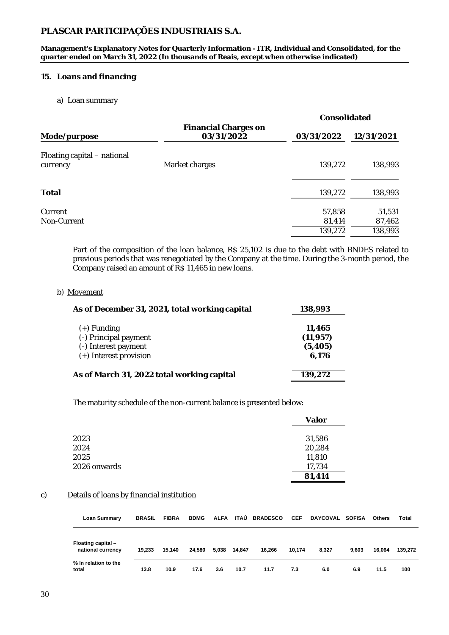**Management's Explanatory Notes for Quarterly Information - ITR, Individual and Consolidated, for the quarter ended on March 31, 2022 (In thousands of Reais, except when otherwise indicated)**

#### **15. Loans and financing**

#### a) Loan summary

|                                         |                                    |                             | Consolidated                |  |  |  |
|-----------------------------------------|------------------------------------|-----------------------------|-----------------------------|--|--|--|
| Mode/purpose                            | Financial Charges on<br>03/31/2022 | 03/31/2022                  | 12/31/2021                  |  |  |  |
| Floating capital - national<br>currency | Market charges                     | 139,272                     | 138,993                     |  |  |  |
| Total                                   |                                    | 139,272                     | 138,993                     |  |  |  |
| Current<br>Non-Current                  |                                    | 57,858<br>81,414<br>139,272 | 51,531<br>87,462<br>138,993 |  |  |  |

Part of the composition of the loan balance, R\$ 25,102 is due to the debt with BNDES related to previous periods that was renegotiated by the Company at the time. During the 3-month period, the Company raised an amount of R\$ 11,465 in new loans.

#### b) Movement

| As of December 31, 2021, total working capital                                           | 138,993                                  |
|------------------------------------------------------------------------------------------|------------------------------------------|
| $(+)$ Funding<br>(-) Principal payment<br>(-) Interest payment<br>(+) Interest provision | 11,465<br>(11, 957)<br>(5, 405)<br>6,176 |
| As of March 31, 2022 total working capital                                               | 139,272                                  |

The maturity schedule of the non-current balance is presented below:

|              | Valor  |
|--------------|--------|
|              |        |
| 2023         | 31,586 |
| 2024         | 20,284 |
| 2025         | 11,810 |
| 2026 onwards | 17,734 |
|              | 81,414 |

#### c) Details of loans by financial institution

| <b>Loan Summary</b>                     | <b>BRASIL</b> | <b>FIBRA</b> | <b>BDMG</b> |       |        | ALFA ITAÚ BRADESCO | <b>CEF</b> | DAYCOVAL SOFISA |       | Others | Total   |
|-----------------------------------------|---------------|--------------|-------------|-------|--------|--------------------|------------|-----------------|-------|--------|---------|
| Floating capital -<br>national currency | 19.233        | 15.140       | 24.580      | 5,038 | 14.847 | 16.266             | 10.174     | 8.327           | 9.603 | 16.064 | 139.272 |
| % In relation to the<br>total           | 13.8          | 10.9         | 17.6        | 3.6   | 10.7   | 11.7               | 7.3        | 6.0             | 6.9   | 11.5   | 100     |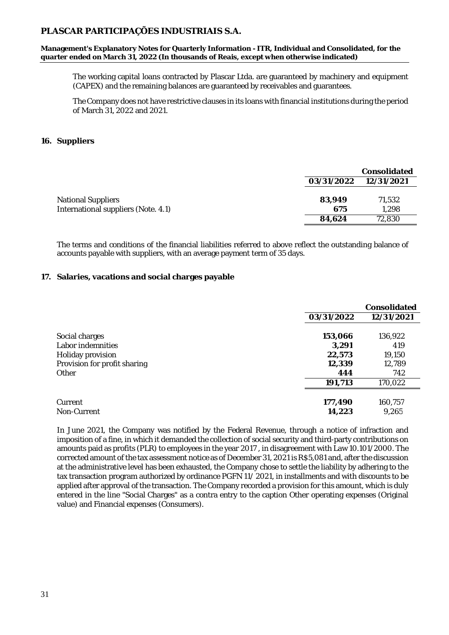**Management's Explanatory Notes for Quarterly Information - ITR, Individual and Consolidated, for the quarter ended on March 31, 2022 (In thousands of Reais, except when otherwise indicated)**

The working capital loans contracted by Plascar Ltda. are guaranteed by machinery and equipment (CAPEX) and the remaining balances are guaranteed by receivables and guarantees.

The Company does not have restrictive clauses in its loans with financial institutions during the period of March 31, 2022 and 2021.

#### **16. Suppliers**

|                                     |            | Consolidated |
|-------------------------------------|------------|--------------|
|                                     | 03/31/2022 | 12/31/2021   |
|                                     |            |              |
| <b>National Suppliers</b>           | 83,949     | 71,532       |
| International suppliers (Note. 4.1) | 675        | 1.298        |
|                                     | 84,624     | 72,830       |

The terms and conditions of the financial liabilities referred to above reflect the outstanding balance of accounts payable with suppliers, with an average payment term of 35 days.

#### **17. Salaries, vacations and social charges payable**

|                              |            | Consolidated |
|------------------------------|------------|--------------|
|                              | 03/31/2022 | 12/31/2021   |
|                              |            |              |
| Social charges               | 153,066    | 136,922      |
| Labor indemnities            | 3,291      | 419          |
| Holiday provision            | 22,573     | 19,150       |
| Provision for profit sharing | 12,339     | 12,789       |
| Other                        | 444        | 742          |
|                              | 191,713    | 170,022      |
|                              |            |              |
| Current                      | 177,490    | 160,757      |
| Non-Current                  | 14,223     | 9,265        |

In June 2021, the Company was notified by the Federal Revenue, through a notice of infraction and imposition of a fine, in which it demanded the collection of social security and third-party contributions on amounts paid as profits (PLR) to employees in the year 2017 , in disagreement with Law 10.101/2000. The corrected amount of the tax assessment notice as of December 31, 2021 is R\$5,081 and, after the discussion at the administrative level has been exhausted, the Company chose to settle the liability by adhering to the tax transaction program authorized by ordinance PGFN 11/ 2021, in installments and with discounts to be applied after approval of the transaction. The Company recorded a provision for this amount, which is duly entered in the line "Social Charges" as a contra entry to the caption Other operating expenses (Original value) and Financial expenses (Consumers).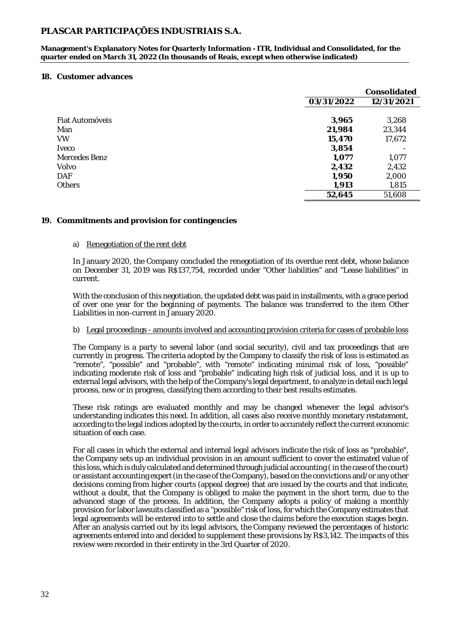**Management's Explanatory Notes for Quarterly Information - ITR, Individual and Consolidated, for the quarter ended on March 31, 2022 (In thousands of Reais, except when otherwise indicated)**

#### **18. Customer advances**

|                 |            | Consolidated |
|-----------------|------------|--------------|
|                 | 03/31/2022 | 12/31/2021   |
|                 |            |              |
| Fiat Automóveis | 3,965      | 3,268        |
| Man             | 21,984     | 23,344       |
| <b>VW</b>       | 15,470     | 17,672       |
| <b>Iveco</b>    | 3,854      |              |
| Mercedes Benz   | 1,077      | 1,077        |
| Volvo           | 2,432      | 2,432        |
| DAF             | 1,950      | 2,000        |
| <b>Others</b>   | 1,913      | 1,815        |
|                 | 52,645     | 51,608       |

#### **19. Commitments and provision for contingencies**

#### a) Renegotiation of the rent debt

In January 2020, the Company concluded the renegotiation of its overdue rent debt, whose balance on December 31, 2019 was R\$137,754, recorded under "Other liabilities" and "Lease liabilities" in current.

With the conclusion of this negotiation, the updated debt was paid in installments, with a grace period of over one year for the beginning of payments. The balance was transferred to the item Other Liabilities in non-current in January 2020.

#### b) Legal proceedings - amounts involved and accounting provision criteria for cases of probable loss

The Company is a party to several labor (and social security), civil and tax proceedings that are currently in progress. The criteria adopted by the Company to classify the risk of loss is estimated as "remote", "possible" and "probable", with "remote" indicating minimal risk of loss, "possible" indicating moderate risk of loss and "probable" indicating high risk of judicial loss, and it is up to external legal advisors, with the help of the Company's legal department, to analyze in detail each legal process, new or in progress, classifying them according to their best results estimates.

These risk ratings are evaluated monthly and may be changed whenever the legal advisor's understanding indicates this need. In addition, all cases also receive monthly monetary restatement, according to the legal indices adopted by the courts, in order to accurately reflect the current economic situation of each case.

For all cases in which the external and internal legal advisors indicate the risk of loss as "probable", the Company sets up an individual provision in an amount sufficient to cover the estimated value of this loss, which is duly calculated and determined through judicial accounting ( in the case of the court) or assistant accounting expert (in the case of the Company), based on the convictions and/or any other decisions coming from higher courts (appeal degree) that are issued by the courts and that indicate, without a doubt, that the Company is obliged to make the payment in the short term, due to the advanced stage of the process. In addition, the Company adopts a policy of making a monthly provision for labor lawsuits classified as a "possible" risk of loss, for which the Company estimates that legal agreements will be entered into to settle and close the claims before the execution stages begin. After an analysis carried out by its legal advisors, the Company reviewed the percentages of historic agreements entered into and decided to supplement these provisions by R\$3,142. The impacts of this review were recorded in their entirety in the 3rd Quarter of 2020.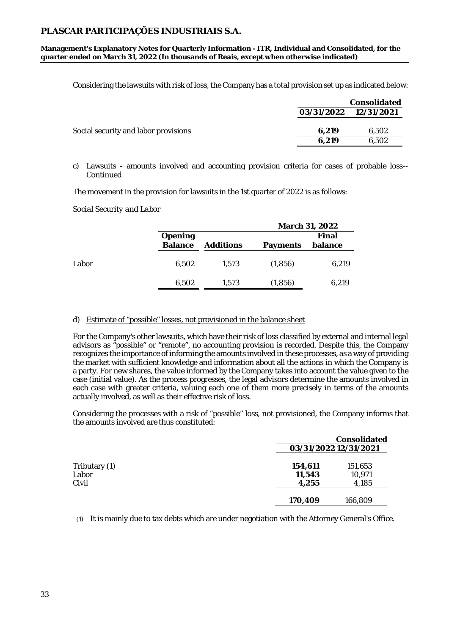**Management's Explanatory Notes for Quarterly Information - ITR, Individual and Consolidated, for the quarter ended on March 31, 2022 (In thousands of Reais, except when otherwise indicated)**

Considering the lawsuits with risk of loss, the Company has a total provision set up as indicated below:

|                                      |       | Consolidated          |
|--------------------------------------|-------|-----------------------|
|                                      |       | 03/31/2022 12/31/2021 |
| Social security and labor provisions | 6.219 | 6,502                 |
|                                      | 6.219 | 6.502                 |
|                                      |       |                       |

#### c) Lawsuits - amounts involved and accounting provision criteria for cases of probable loss-- Continued

The movement in the provision for lawsuits in the 1st quarter of 2022 is as follows:

*Social Security and Labor*

|       |         |           | March 31, 2022 |         |  |
|-------|---------|-----------|----------------|---------|--|
|       | Opening |           |                | Final   |  |
|       | Balance | Additions | Payments       | balance |  |
|       |         |           |                |         |  |
| Labor | 6,502   | 1.573     | (1,856)        | 6,219   |  |
|       |         |           |                |         |  |
|       | 6,502   | 1.573     | (1,856)        | 6,219   |  |
|       |         |           |                |         |  |

#### d) Estimate of "possible" losses, not provisioned in the balance sheet

For the Company's other lawsuits, which have their risk of loss classified by external and internal legal advisors as "possible" or "remote", no accounting provision is recorded. Despite this, the Company recognizes the importance of informing the amounts involved in these processes, as a way of providing the market with sufficient knowledge and information about all the actions in which the Company is a party. For new shares, the value informed by the Company takes into account the value given to the case (initial value). As the process progresses, the legal advisors determine the amounts involved in each case with greater criteria, valuing each one of them more precisely in terms of the amounts actually involved, as well as their effective risk of loss.

Considering the processes with a risk of "possible" loss, not provisioned, the Company informs that the amounts involved are thus constituted:

|                                 | Consolidated<br>03/31/2022 12/31/2021                    |  |
|---------------------------------|----------------------------------------------------------|--|
| Tributary (1)<br>Labor<br>Civil | 154,611<br>151,653<br>10,971<br>11,543<br>4,185<br>4,255 |  |
|                                 | 166,809<br>170,409                                       |  |

(1) It is mainly due to tax debts which are under negotiation with the Attorney General's Office.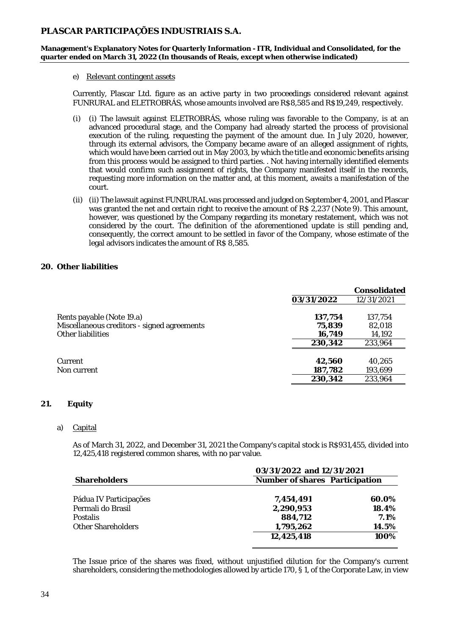**Management's Explanatory Notes for Quarterly Information - ITR, Individual and Consolidated, for the quarter ended on March 31, 2022 (In thousands of Reais, except when otherwise indicated)**

#### e) Relevant contingent assets

Currently, Plascar Ltd. figure as an active party in two proceedings considered relevant against FUNRURAL and ELETROBRÁS, whose amounts involved are R\$8,585 and R\$19,249, respectively.

- (i) (i) The lawsuit against ELETROBRÁS, whose ruling was favorable to the Company, is at an advanced procedural stage, and the Company had already started the process of provisional execution of the ruling, requesting the payment of the amount due. In July 2020, however, through its external advisors, the Company became aware of an alleged assignment of rights, which would have been carried out in May 2003, by which the title and economic benefits arising from this process would be assigned to third parties. . Not having internally identified elements that would confirm such assignment of rights, the Company manifested itself in the records, requesting more information on the matter and, at this moment, awaits a manifestation of the court.
- (ii) (ii) The lawsuit against FUNRURAL was processed and judged on September 4, 2001, and Plascar was granted the net and certain right to receive the amount of R\$ 2,237 (Note 9). This amount, however, was questioned by the Company regarding its monetary restatement, which was not considered by the court. The definition of the aforementioned update is still pending and, consequently, the correct amount to be settled in favor of the Company, whose estimate of the legal advisors indicates the amount of R\$ 8,585.

#### **20. Other liabilities**

|                                             |            | Consolidated |
|---------------------------------------------|------------|--------------|
|                                             | 03/31/2022 | 12/31/2021   |
| Rents payable (Note 19.a)                   | 137,754    | 137,754      |
| Miscellaneous creditors - signed agreements | 75,839     | 82,018       |
| Other liabilities                           | 16,749     | 14,192       |
|                                             | 230,342    | 233,964      |
|                                             |            |              |
| Current                                     | 42,560     | 40.265       |
| Non current                                 | 187,782    | 193,699      |
|                                             | 230,342    | 233,964      |
|                                             |            |              |

#### **21. Equity**

#### a) Capital

As of March 31, 2022, and December 31, 2021 the Company's capital stock is R\$931,455, divided into 12,425,418 registered common shares, with no par value.

|                        | 03/31/2022 and 12/31/2021      |         |  |
|------------------------|--------------------------------|---------|--|
| <b>Shareholders</b>    | Number of shares Participation |         |  |
|                        |                                |         |  |
| Pádua IV Participações | 7,454,491                      | 60.0%   |  |
| Permali do Brasil      | 2,290,953                      | 18.4%   |  |
| <b>Postalis</b>        | 884,712                        | 7.1%    |  |
| Other Shareholders     | 1,795,262                      | 14.5%   |  |
|                        | 12,425,418                     | $100\%$ |  |
|                        |                                |         |  |

The Issue price of the shares was fixed, without unjustified dilution for the Company's current shareholders, considering the methodologies allowed by article 170, § 1, of the Corporate Law, in view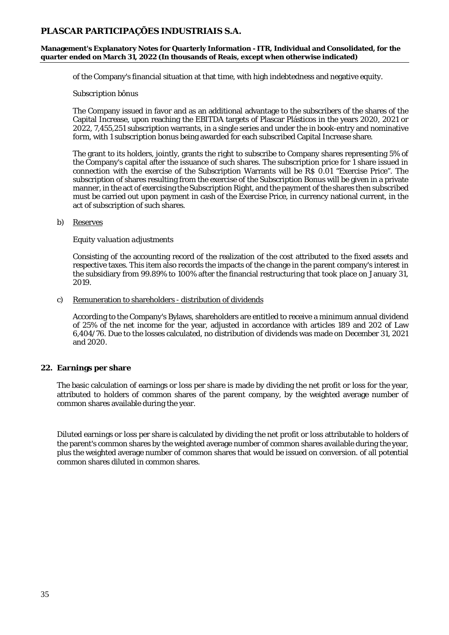**Management's Explanatory Notes for Quarterly Information - ITR, Individual and Consolidated, for the quarter ended on March 31, 2022 (In thousands of Reais, except when otherwise indicated)**

of the Company's financial situation at that time, with high indebtedness and negative equity.

#### *Subscription bônus*

The Company issued in favor and as an additional advantage to the subscribers of the shares of the Capital Increase, upon reaching the EBITDA targets of Plascar Plásticos in the years 2020, 2021 or 2022, 7,455,251 subscription warrants, in a single series and under the in book-entry and nominative form, with 1 subscription bonus being awarded for each subscribed Capital Increase share.

The grant to its holders, jointly, grants the right to subscribe to Company shares representing 5% of the Company's capital after the issuance of such shares. The subscription price for 1 share issued in connection with the exercise of the Subscription Warrants will be R\$ 0.01 "Exercise Price". The subscription of shares resulting from the exercise of the Subscription Bonus will be given in a private manner, in the act of exercising the Subscription Right, and the payment of the shares then subscribed must be carried out upon payment in cash of the Exercise Price, in currency national current, in the act of subscription of such shares.

#### b) Reserves

#### *Equity valuation adjustments*

Consisting of the accounting record of the realization of the cost attributed to the fixed assets and respective taxes. This item also records the impacts of the change in the parent company's interest in the subsidiary from 99.89% to 100% after the financial restructuring that took place on January 31, 2019.

#### c) Remuneration to shareholders - distribution of dividends

According to the Company's Bylaws, shareholders are entitled to receive a minimum annual dividend of 25% of the net income for the year, adjusted in accordance with articles 189 and 202 of Law 6,404/76. Due to the losses calculated, no distribution of dividends was made on December 31, 2021 and 2020.

#### **22. Earnings per share**

The basic calculation of earnings or loss per share is made by dividing the net profit or loss for the year, attributed to holders of common shares of the parent company, by the weighted average number of common shares available during the year.

Diluted earnings or loss per share is calculated by dividing the net profit or loss attributable to holders of the parent's common shares by the weighted average number of common shares available during the year, plus the weighted average number of common shares that would be issued on conversion. of all potential common shares diluted in common shares.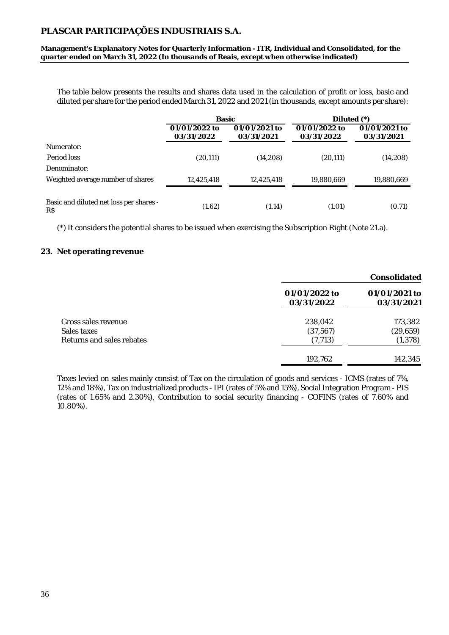**Management's Explanatory Notes for Quarterly Information - ITR, Individual and Consolidated, for the quarter ended on March 31, 2022 (In thousands of Reais, except when otherwise indicated)**

The table below presents the results and shares data used in the calculation of profit or loss, basic and diluted per share for the period ended March 31, 2022 and 2021 (in thousands, except amounts per share):

|                                                | Basic                       |                             | Diluted $(*)$               |                             |
|------------------------------------------------|-----------------------------|-----------------------------|-----------------------------|-----------------------------|
|                                                | 01/01/2022 to<br>03/31/2022 | 01/01/2021 to<br>03/31/2021 | 01/01/2022 to<br>03/31/2022 | 01/01/2021 to<br>03/31/2021 |
| Numerator:                                     |                             |                             |                             |                             |
| Period loss                                    | (20, 111)                   | (14,208)                    | (20, 111)                   | (14, 208)                   |
| Denominator:                                   |                             |                             |                             |                             |
| Weighted average number of shares              | 12,425,418                  | 12,425,418                  | 19,880,669                  | 19,880,669                  |
| Basic and diluted net loss per shares -<br>R\$ | (1.62)                      | (1.14)                      | (1.01)                      | (0.71)                      |

(\*) It considers the potential shares to be issued when exercising the Subscription Right (Note 21.a).

#### **23. Net operating revenue**

|                                                                 |                                  | Consolidated                     |
|-----------------------------------------------------------------|----------------------------------|----------------------------------|
|                                                                 | 01/01/2022 to<br>03/31/2022      | 01/01/2021 to<br>03/31/2021      |
| Gross sales revenue<br>Sales taxes<br>Returns and sales rebates | 238,042<br>(37, 567)<br>(7, 713) | 173,382<br>(29, 659)<br>(1, 378) |
|                                                                 | 192,762                          | 142,345                          |

Taxes levied on sales mainly consist of Tax on the circulation of goods and services - ICMS (rates of 7%, 12% and 18%), Tax on industrialized products - IPI (rates of 5% and 15%), Social Integration Program - PIS (rates of 1.65% and 2.30%), Contribution to social security financing - COFINS (rates of 7.60% and 10.80%).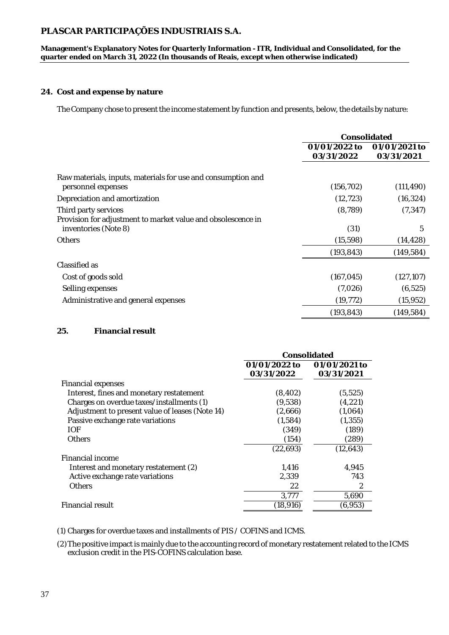**Management's Explanatory Notes for Quarterly Information - ITR, Individual and Consolidated, for the quarter ended on March 31, 2022 (In thousands of Reais, except when otherwise indicated)**

#### **24. Cost and expense by nature**

The Company chose to present the income statement by function and presents, below, the details by nature:

|                                                              | Consolidated  |               |
|--------------------------------------------------------------|---------------|---------------|
|                                                              | 01/01/2022 to | 01/01/2021 to |
|                                                              | 03/31/2022    | 03/31/2021    |
| Raw materials, inputs, materials for use and consumption and |               |               |
| personnel expenses                                           | (156, 702)    | (111, 490)    |
| Depreciation and amortization                                | (12, 723)     | (16, 324)     |
| Third party services                                         | (8, 789)      | (7, 347)      |
| Provision for adjustment to market value and obsolescence in |               |               |
| inventories (Note 8)                                         | (31)          | 5             |
| <b>Others</b>                                                | (15, 598)     | (14, 428)     |
|                                                              | (193, 843)    | (149, 584)    |
| Classified as                                                |               |               |
| Cost of goods sold                                           | (167, 045)    | (127, 107)    |
| Selling expenses                                             | (7,026)       | (6, 525)      |
| Administrative and general expenses                          | (19, 772)     | (15, 952)     |
|                                                              | (193, 843)    | (149, 584)    |
|                                                              |               |               |

### **25. Financial result**

|                                                 | Consolidated  |               |  |
|-------------------------------------------------|---------------|---------------|--|
|                                                 | 01/01/2022 to | 01/01/2021 to |  |
|                                                 | 03/31/2022    | 03/31/2021    |  |
| Financial expenses                              |               |               |  |
| Interest, fines and monetary restatement        | (8, 402)      | (5, 525)      |  |
| Charges on overdue taxes/installments (1)       | (9,538)       | (4, 221)      |  |
| Adjustment to present value of leases (Note 14) | (2,666)       | (1,064)       |  |
| Passive exchange rate variations                | (1,584)       | (1, 355)      |  |
| <b>IOF</b>                                      | (349)         | (189)         |  |
| <b>Others</b>                                   | (154)         | (289)         |  |
|                                                 | (22, 693)     | (12, 643)     |  |
| Financial income                                |               |               |  |
| Interest and monetary restatement (2)           | 1,416         | 4,945         |  |
| Active exchange rate variations                 | 2,339         | 743           |  |
| <b>Others</b>                                   | 22            | 2             |  |
|                                                 | 3,777         | 5,690         |  |
| <b>Financial result</b>                         | (18, 916)     | (6,953)       |  |

(1) Charges for overdue taxes and installments of PIS / COFINS and ICMS.

(2)The positive impact is mainly due to the accounting record of monetary restatement related to the ICMS exclusion credit in the PIS-COFINS calculation base.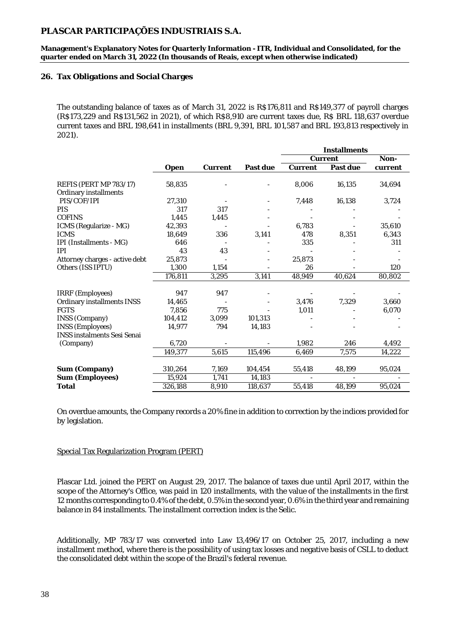**Management's Explanatory Notes for Quarterly Information - ITR, Individual and Consolidated, for the quarter ended on March 31, 2022 (In thousands of Reais, except when otherwise indicated)**

#### **26. Tax Obligations and Social Charges**

The outstanding balance of taxes as of March 31, 2022 is R\$176,811 and R\$149,377 of payroll charges (R\$173,229 and R\$131,562 in 2021), of which R\$8,910 are current taxes due, R\$ BRL 118,637 overdue current taxes and BRL 198,641 in installments (BRL 9,391, BRL 101,587 and BRL 193,813 respectively in 2021).

|                                    |         |         |          | Installments |          |         |
|------------------------------------|---------|---------|----------|--------------|----------|---------|
|                                    |         |         |          |              | Current  | Non-    |
|                                    | Open    | Current | Past due | Current      | Past due | current |
|                                    |         |         |          |              |          |         |
| REFIS (PERT MP 783/17)             | 58,835  |         |          | 8,006        | 16,135   | 34,694  |
| Ordinary installments              |         |         |          |              |          |         |
| PIS/COF/IPI                        | 27,310  |         |          | 7,448        | 16,138   | 3,724   |
| PIS                                | 317     | 317     |          |              |          |         |
| <b>COFINS</b>                      | 1.445   | 1,445   |          |              |          |         |
| ICMS (Regularize - MG)             | 42,393  |         |          | 6,783        |          | 35,610  |
| <b>ICMS</b>                        | 18,649  | 336     | 3,141    | 478          | 8,351    | 6,343   |
| IPI (Installments - MG)            | 646     |         |          | 335          |          | 311     |
| IPI                                | 43      | 43      |          |              |          |         |
| Attorney charges - active debt     | 25,873  |         |          | 25,873       |          |         |
| Others (ISS IPTU)                  | 1,300   | 1,154   |          | 26           |          | 120     |
|                                    | 176,811 | 3,295   | 3,141    | 48,949       | 40,624   | 80,802  |
|                                    |         |         |          |              |          |         |
| IRRF (Employees)                   | 947     | 947     |          |              |          |         |
| Ordinary installments INSS         | 14,465  |         |          | 3,476        | 7,329    | 3,660   |
| <b>FGTS</b>                        | 7,856   | 775     |          | 1,011        |          | 6,070   |
| INSS (Company)                     | 104,412 | 3,099   | 101,313  |              |          |         |
| <b>INSS (Employees)</b>            | 14,977  | 794     | 14,183   |              |          |         |
| <b>INSS instalments Sesi Senai</b> |         |         |          |              |          |         |
| (Company)                          | 6,720   |         |          | 1,982        | 246      | 4,492   |
|                                    | 149,377 | 5,615   | 115,496  | 6,469        | 7,575    | 14,222  |
|                                    |         |         |          |              |          |         |
| Sum (Company)                      | 310,264 | 7,169   | 104,454  | 55,418       | 48,199   | 95,024  |
| Sum (Employees)                    | 15,924  | 1,741   | 14,183   |              |          |         |
| Total                              | 326,188 | 8,910   | 118,637  | 55,418       | 48,199   | 95,024  |

On overdue amounts, the Company records a 20% fine in addition to correction by the indices provided for by legislation.

#### Special Tax Regularization Program (PERT)

Plascar Ltd. joined the PERT on August 29, 2017. The balance of taxes due until April 2017, within the scope of the Attorney's Office, was paid in 120 installments, with the value of the installments in the first 12 months corresponding to 0.4% of the debt, 0.5% in the second year, 0.6% in the third year and remaining balance in 84 installments. The installment correction index is the Selic.

Additionally, MP 783/17 was converted into Law 13,496/17 on October 25, 2017, including a new installment method, where there is the possibility of using tax losses and negative basis of CSLL to deduct the consolidated debt within the scope of the Brazil's federal revenue.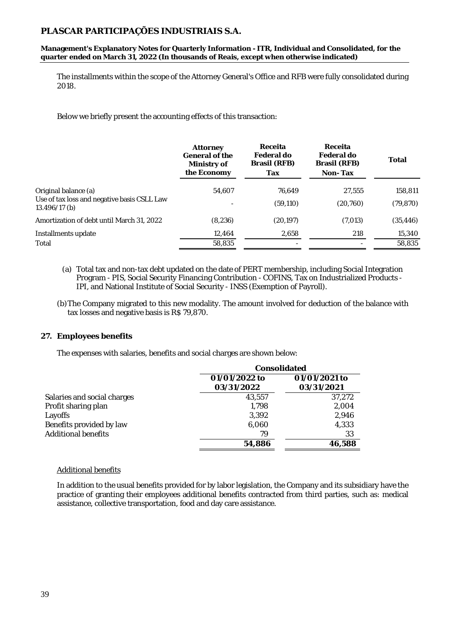**Management's Explanatory Notes for Quarterly Information - ITR, Individual and Consolidated, for the quarter ended on March 31, 2022 (In thousands of Reais, except when otherwise indicated)**

The installments within the scope of the Attorney General's Office and RFB were fully consolidated during 2018.

Below we briefly present the accounting effects of this transaction:

|                                                                                      | Attorney<br>General of the<br>Ministry of<br>the Economy | Receita<br>Federal do<br>Brasil (RFB)<br>Tax | Receita<br>Federal do<br>Brasil (RFB)<br>Non-Tax | Total                |
|--------------------------------------------------------------------------------------|----------------------------------------------------------|----------------------------------------------|--------------------------------------------------|----------------------|
| Original balance (a)<br>Use of tax loss and negative basis CSLL Law<br>13.496/17 (b) | 54,607                                                   | 76,649<br>(59, 110)                          | 27,555<br>(20,760)                               | 158,811<br>(79, 870) |
| Amortization of debt until March 31, 2022                                            | (8, 236)                                                 | (20, 197)                                    | (7,013)                                          | (35,446)             |
| Installments update                                                                  | 12,464                                                   | 2,658                                        | 218                                              | 15,340               |
| Total                                                                                | 58,835                                                   |                                              |                                                  | 58,835               |

- (a) Total tax and non-tax debt updated on the date of PERT membership, including Social Integration Program - PIS, Social Security Financing Contribution - COFINS, Tax on Industrialized Products - IPI, and National Institute of Social Security - INSS (Exemption of Payroll).
- (b)The Company migrated to this new modality. The amount involved for deduction of the balance with tax losses and negative basis is R\$ 79,870.

#### **27. Employees benefits**

The expenses with salaries, benefits and social charges are shown below:

|                             |               | Consolidated  |  |  |
|-----------------------------|---------------|---------------|--|--|
|                             | 01/01/2022 to | 01/01/2021 to |  |  |
|                             | 03/31/2022    | 03/31/2021    |  |  |
| Salaries and social charges | 43,557        | 37,272        |  |  |
| Profit sharing plan         | 1.798         | 2,004         |  |  |
| Layoffs                     | 3,392         | 2,946         |  |  |
| Benefits provided by law    | 6,060         | 4,333         |  |  |
| <b>Additional benefits</b>  | 79            | 33            |  |  |
|                             | 54,886        | 46,588        |  |  |

#### Additional benefits

In addition to the usual benefits provided for by labor legislation, the Company and its subsidiary have the practice of granting their employees additional benefits contracted from third parties, such as: medical assistance, collective transportation, food and day care assistance.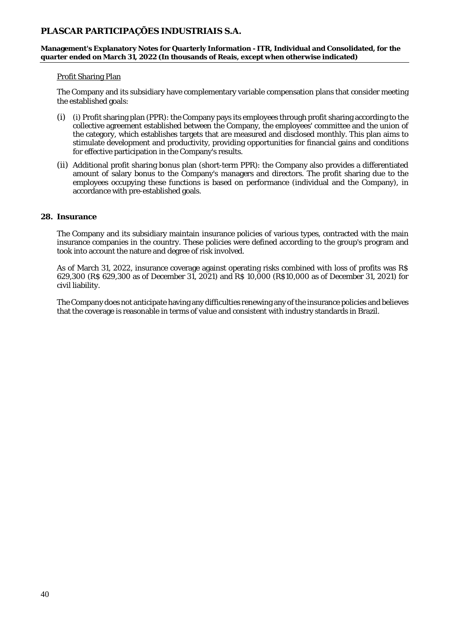**Management's Explanatory Notes for Quarterly Information - ITR, Individual and Consolidated, for the quarter ended on March 31, 2022 (In thousands of Reais, except when otherwise indicated)**

#### Profit Sharing Plan

The Company and its subsidiary have complementary variable compensation plans that consider meeting the established goals:

- (i) (i) Profit sharing plan (PPR): the Company pays its employees through profit sharing according to the collective agreement established between the Company, the employees' committee and the union of the category, which establishes targets that are measured and disclosed monthly. This plan aims to stimulate development and productivity, providing opportunities for financial gains and conditions for effective participation in the Company's results.
- (ii) Additional profit sharing bonus plan (short-term PPR): the Company also provides a differentiated amount of salary bonus to the Company's managers and directors. The profit sharing due to the employees occupying these functions is based on performance (individual and the Company), in accordance with pre-established goals.

#### **28. Insurance**

The Company and its subsidiary maintain insurance policies of various types, contracted with the main insurance companies in the country. These policies were defined according to the group's program and took into account the nature and degree of risk involved.

As of March 31, 2022, insurance coverage against operating risks combined with loss of profits was R\$ 629,300 (R\$ 629,300 as of December 31, 2021) and R\$ 10,000 (R\$10,000 as of December 31, 2021) for civil liability.

The Company does not anticipate having any difficulties renewing any of the insurance policies and believes that the coverage is reasonable in terms of value and consistent with industry standards in Brazil.